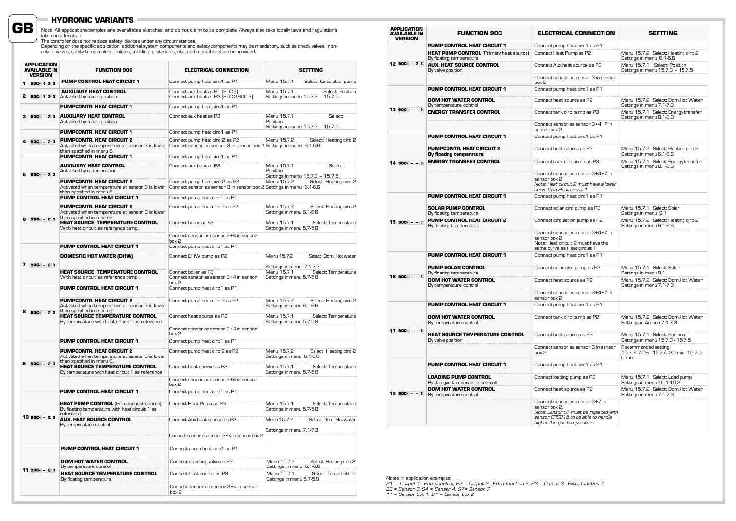### **HYDRONIC VARIANTS**

**GB**

Note! All applicationexamples are overall idea sketches, and do not claim to be complete. Always also take locally laws and regulations<br>into consideration.<br>Depending on the specific application, additional system component

|   | <b>APPLICATION</b><br><b>AVAILABLE IN</b><br><b>VERSION</b> | <b>FUNCTION 90C</b>                                                                                              | <b>ELECTRICAL CONNECTION</b>                                                                          | <b>SETTTING</b>                                                                            |
|---|-------------------------------------------------------------|------------------------------------------------------------------------------------------------------------------|-------------------------------------------------------------------------------------------------------|--------------------------------------------------------------------------------------------|
|   | 90C-123                                                     | <b>PUMP CONTROL HEAT CIRCUIT 1</b>                                                                               | Connect pump heat circ1 as P1                                                                         | Menu 15.7.1<br>Select: Circulation pump                                                    |
|   | 90C-123                                                     | <b>AUXILIARY HEAT CONTROL</b><br>Activated by mixer position.                                                    | Connect aux heat as P1 (90C-1)<br>Connect aux heat as P3 (90C-2,90C-3)                                | Menu 15.7.1<br>Select: Position<br>Settings in menu 15.7.3 - 15.7.5                        |
|   |                                                             | PUMPCONTR. HEAT CIRCUIT 1                                                                                        | Connect pump heat circ1 as P1                                                                         |                                                                                            |
|   | $90C - 23$                                                  | <b>AUXILIARY HEAT CONTROL</b><br>Activated by mixer position                                                     | Connect aux heat as P3                                                                                | Menu 15.7.1<br>Select:<br>Position<br>Settings in menu 15.7.3 - 15.7.5                     |
|   |                                                             | <b>PUMPCONTR. HEAT CIRCUIT 1</b>                                                                                 | Connect pump heat circ1 as P1                                                                         |                                                                                            |
|   | $90C - 23$                                                  | <b>PUMPCONTR. HEAT CIRCUIT 2</b><br>Activated when temperature at sensor 3 is lower<br>than specified in menu 6. | Connect pump heat circ 2 as P2<br>Connect sensor as sensor 3 in sensor box 2 Settings in menu 6.1-6.6 | Menu 15.7.2<br>Select: Heating circ 2                                                      |
|   |                                                             | PUMPCONTR. HEAT CIRCUIT 1                                                                                        | Connect pump heat circ1 as P1                                                                         |                                                                                            |
|   | $90C - 23$                                                  | <b>AUXILIARY HEAT CONTROL</b><br>Activated by mixer position                                                     | Connect aux heat as P3                                                                                | Menu 15.7.1<br>Select:<br>Position<br>Settings in menu 15.7.3 - 15.7.5                     |
|   |                                                             | <b>PUMPCONTR. HEAT CIRCUIT 2</b><br>Activated when temperature at sensor 3 is lower<br>than specified in menu 6. | Connect pump heat circ 2 as P2<br>Connect sensor as sensor 3 in sensor box 2 Settings in menu 6.1-6.6 | Menu 15.7.2<br>Select: Heating circ 2                                                      |
|   |                                                             | PUMP CONTROL HEAT CIRCUIT 1                                                                                      | Connect pump heat circ1 as P1                                                                         |                                                                                            |
|   | $6.90C - 23$                                                | <b>PUMPCONTR. HEAT CIRCUIT 2</b><br>Activated when temperature at sensor 3 is lower<br>than specified in menu 6. | Connect pump heat circ 2 as P2                                                                        | Menu 15.7.2<br>Select: Heating circ 2<br>Settings in menu 6.1-6.6                          |
|   |                                                             | <b>HEAT SOURCE TEMPERATURE CONTROL</b><br>With heat circuit as reference temp.                                   | Connect boiler as P3                                                                                  | Menu 15.7.1<br>Select: Temperature<br>Settings in menu 5.7-5.8                             |
|   |                                                             |                                                                                                                  | Connect sensor as sensor 3+4 in sensor<br>hnx P                                                       |                                                                                            |
|   |                                                             | PUMP CONTROL HEAT CIRCUIT 1                                                                                      | Connect pump heat circ1 as P1                                                                         |                                                                                            |
|   | $7.90C - 23$                                                | <b>DOMESTIC HOT WATER (DHW)</b>                                                                                  | Connect DHW pump as P2                                                                                | Menu 15.7.2<br>Select: Dom. Hot water                                                      |
|   |                                                             | <b>HEAT SOURCE TEMPERATURE CONTROL</b><br>With heat circuit as reference temp.                                   | Connect boiler as P3<br>Connect sensor as sensor 3+4 in sensor<br>box 2                               | Settings in menu 7.1-7.3<br>Menu 15.7.1<br>Select: Temperature<br>Settings in menu 5.7-5.8 |
|   |                                                             | PUMP CONTROL HEAT CIRCUIT 1                                                                                      | Connect pump heat circ1 as P1                                                                         |                                                                                            |
|   | 8 90C - 23                                                  | <b>PUMPCONTR. HEAT CIRCUIT 2</b><br>Activated when temperature at sensor 3 is lower<br>than specified in menu 6. | Connect pump heat circ 2 as P2                                                                        | Menu 15.7.2<br>Select: Heating circ 2<br>Settings in menu 6.1-6.6                          |
|   |                                                             | <b>HEAT SOURCE TEMPERATURE CONTROL</b><br>By temperature with heat circuit 1 as reference                        | Connect heat source as P3                                                                             | Menu 15.7.1<br>Select: Temperature<br>Settings in menu 5.7-5.8                             |
|   |                                                             |                                                                                                                  | Connect sensor as sensor 3+4 in sensor<br>hnx P                                                       |                                                                                            |
|   |                                                             | <b>PUMP CONTROL HEAT CIRCUIT 1</b>                                                                               | Connect pump heat circ1 as P1                                                                         |                                                                                            |
|   |                                                             | <b>PUMPCONTR. HEAT CIRCUIT 2</b><br>Activated when temperature at sensor 3 is lower<br>than specified in menu 6. | Connect pump heat circ 2 as P2                                                                        | Menu 15.7.2<br>Select: Heating circ 2<br>Settings in menu 6.1-6.6                          |
| a | $90C - 23$                                                  | <b>HEAT SOURCE TEMPERATURE CONTROL</b><br>By temperature with heat circuit 1 as reference                        | Connect heat source as P3                                                                             | Menu 15.7.1<br>Select: Temperature<br>Settings in menu 5.7-5.8                             |
|   |                                                             |                                                                                                                  | Connect sensor as sensor 3+4 in sensor<br>box 2                                                       |                                                                                            |
|   |                                                             | PUMP CONTROL HEAT CIRCUIT 1                                                                                      | Connect pump heat circ1 as P1                                                                         |                                                                                            |
|   |                                                             | <b>HEAT PUMP CONTROL (Primary heat source)</b><br>By floating temperature with heat circuit 1 as<br>reference    | Connect Heat Pump as P3                                                                               | Menu 15.7.1<br>Select: Temperature<br>Settings in menu 5.7-5.8                             |
|   | 10 900 - 23                                                 | <b>AUX. HEAT SOURCE CONTROL</b><br>By temperature control                                                        | Connect Aux heat source as P2                                                                         | Select: Dom. Hot water<br>Menu 15.7.2<br>Settings in menu 7.1-7.3                          |
|   |                                                             |                                                                                                                  | Connect sensor as sensor 3+4 in sensor box 2                                                          |                                                                                            |
|   |                                                             | <b>PUMP CONTROL HEAT CIRCUIT 1</b>                                                                               | Connect pump heat circ1 as P1                                                                         |                                                                                            |
|   |                                                             | <b>DOM HOT WATER CONTROL</b><br>By temperature control                                                           | Connect diverting valve as P2                                                                         | Menu 15.7.2<br>Select: Heating circ 2<br>Settings in menu 6.1-6.6                          |
|   | 11 90C- - 23                                                | HEAT SOURCE TEMPERATURE CONTROL<br>By floating temperature                                                       | Connect heat source as P3                                                                             | Menu 15.7.1<br>Select: Temperature<br>Settings in menu 5.7-5.8                             |
|   |                                                             |                                                                                                                  | Connect sensor as sensor 3+4 in sensor<br>box 2                                                       |                                                                                            |

| <b>APPLICATION</b><br><b>AVAILABLE IN</b><br><b>VERSION</b> | <b>FUNCTION 90C</b>                                                       | <b>ELECTRICAL CONNECTION</b>                                                                                                                                   | <b>SETTTING</b>                                                     |
|-------------------------------------------------------------|---------------------------------------------------------------------------|----------------------------------------------------------------------------------------------------------------------------------------------------------------|---------------------------------------------------------------------|
|                                                             | PUMP CONTROL HEAT CIRCUIT 1                                               | Connect pump heat circ1 as P1                                                                                                                                  |                                                                     |
|                                                             | <b>HEAT PUMP CONTROL</b> (Primary heat source)<br>By floating temperature | Connect Heat Pump as P2                                                                                                                                        | Menu 15.7.2 Select: Heating circ 2<br>Settings in menu 6.1-6.6      |
| 12 900 - 23                                                 | <b>AUX. HEAT SOURCE CONTROL</b><br>By valve position                      | Connect Aux heat source as P3                                                                                                                                  | Menu 15.7.1 Select: Position<br>Settings in menu 15.7.3 - 15.7.5    |
|                                                             |                                                                           | Connect sensor as sensor 3 in sensor<br>box 2                                                                                                                  |                                                                     |
|                                                             | <b>PUMP CONTROL HEAT CIRCUIT 1</b>                                        | Connect pump heat circ1 as P1                                                                                                                                  |                                                                     |
|                                                             | <b>DOM HOT WATER CONTROL</b><br>By temperature control                    | Connect heat source as P2                                                                                                                                      | Menu 15.7.2 Select: Dom.Hot Water<br>Settings in menu 7.1-7.3       |
| $13 90C - -3$                                               | <b>ENERGY TRANSFER CONTROL</b>                                            | Connect tank circ pump as P3                                                                                                                                   | Menu 15.7.1 Select: Energy transfer<br>Settings in menu 8.1-8.3     |
|                                                             |                                                                           | Connect sensor as sensor 3+4+7 in<br>sensor box 2                                                                                                              |                                                                     |
|                                                             | <b>PUMP CONTROL HEAT CIRCUIT 1</b>                                        | Connect pump heat circ1 as P1                                                                                                                                  |                                                                     |
|                                                             | <b>PUMPCONTR. HEAT CIRCUIT 2</b><br>By floating temperature               | Connect heat source as P2                                                                                                                                      | Menu 15.7.2 Select: Heating circ 2<br>Settings in menu 6.1-6.6      |
| $14$ 90C - $-3$                                             | <b>ENERGY TRANSFER CONTROL</b>                                            | Connect tank circ pump as P3                                                                                                                                   | Menu 15.7.1 Select: Energy transfer<br>Settings in menu 8.1-8.3     |
|                                                             |                                                                           | Connect sensor as sensor 3+4+7 in<br>sensor box 2<br>Note: Heat circuit 2 must have a lower<br>curve than Heat circuit 1                                       |                                                                     |
|                                                             | <b>PUMP CONTROL HEAT CIRCUIT 1</b>                                        | Connect pump heat circ1 as P1                                                                                                                                  |                                                                     |
|                                                             | <b>SOLAR PUMP CONTROL</b><br>By floating temperature                      | Connect solar circ pump as P3                                                                                                                                  | Menu 15.7.1 Select: Solar<br>Settings in menu 9.1                   |
| $1590C - 3$                                                 | PUMP CONTROL HEAT CIRCUIT 2<br>By floating temperature                    | Connect circulation pump as P2                                                                                                                                 | Menu 15.7.2 Select: Heating circ 2<br>Settings in menu 6.1-6.6      |
|                                                             |                                                                           | Connect sensor as sensor 3+4+7 in<br>sensor box 2<br>Note: Heat circuit 2 must have the<br>same curve as Heat circuit 1                                        |                                                                     |
|                                                             | <b>PUMP CONTROL HEAT CIRCUIT 1</b>                                        | Connect pump heat circ1 as P1                                                                                                                                  |                                                                     |
|                                                             | <b>PUMP SOLAR CONTROL</b><br>By floating temperature                      | Connect solar circ pump as P3                                                                                                                                  | Menu 15.7.1 Select: Solar<br>Settings in menu 9.1                   |
| $16$ 90C - - 3                                              | <b>DOM HOT WATER CONTROL</b><br>By temperature control                    | Connect heat source as P2                                                                                                                                      | Menu 15.7.2 Select: Dom.Hot Water<br>Settings in menu 7.1-7.3       |
|                                                             |                                                                           | Connect sensor as sensor 3+4+7 in<br>sensor box 2                                                                                                              |                                                                     |
|                                                             | <b>PUMP CONTROL HEAT CIRCUIT 1</b>                                        | Connect pump heat circ1 as P1                                                                                                                                  |                                                                     |
|                                                             | <b>DOM HOT WATER CONTROL</b><br>By temperature control                    | Connect tank circ pump as P2                                                                                                                                   | Menu 15.7.2 Select: Dom.Hot Water<br>Settings in Amenu 7.1-7.3      |
| $17.90C - -3$                                               | <b>HEAT SOURCE TEMPERATURE CONTROL</b><br>By valve position               | Connect heat source as P3                                                                                                                                      | Menu 15.7.1 Select: Position<br>Settings in menu 15.7.3 - 15.7.5    |
|                                                             |                                                                           | Connect sensor as sensor 3 in sensor<br>box 2                                                                                                                  | Recommended setting:<br>15.7.3: 75% 15.7.4: 20 min 15.7.5:<br>0 min |
|                                                             | <b>PUMP CONTROL HEAT CIRCUIT 1</b>                                        | Connect pump heat circ1 as P1                                                                                                                                  |                                                                     |
|                                                             | <b>LOADING PUMP CONTROL</b><br>By flue gas temperature controll           | Connect loading pump as P3                                                                                                                                     | Menu 15.7.1 Select: Load pump<br>Settings in menu 10.1-10.2         |
| $1890C - - 3$                                               | <b>DOM HOT WATER CONTROL</b><br>By temperature control                    | Connect heat source as P2                                                                                                                                      | Menu 15.7.2 Select: Dom.Hot Water<br>Settings in menu 7.1-7.3       |
|                                                             |                                                                           | Connect sensor as sensor 3+7 in<br>sensor box 2.<br>Note: Sensor S7 must be replaced with<br>sensor CRS215 to be able to handle<br>higher flue gas temperature |                                                                     |

Notes in application examples:<br>P1 = Output 1 - Pumpcontrol, P2 = Output 2 - Extra function 2, P3 = Output 3 - Extra function 1<br>S3 = Sensor 3, S4 = Sensor 4, S7= Sensor 7<br>1\* = Sensor box 1, 2\* = Sensor box 2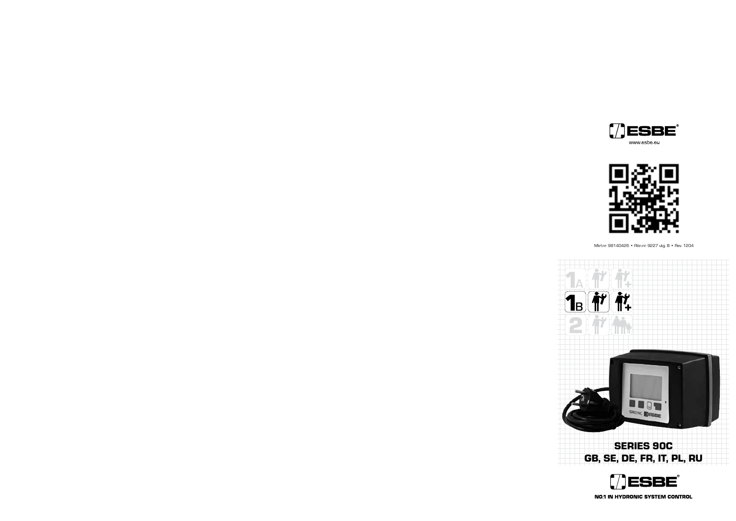



Mtrl.nr. 98140426 • Ritn.nr. 9227 utg. B • Rev. 1204



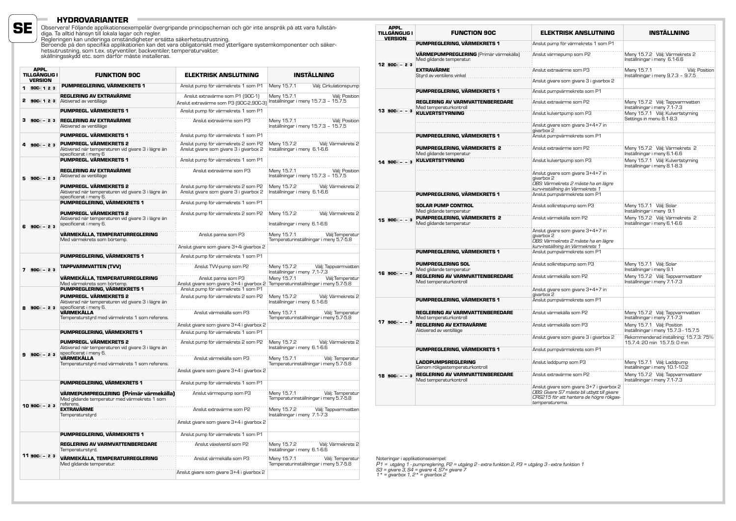### **HYDROVARIANTER**

**SE**

Observera! Följande applikationsexempelär övergripande principscheman och gör inte anspråk på att vara fullstän-<br>diga. Ta alltid hänsyn till lokala lagar och regler.<br>Regleringen kan underinga omständigheter ersätta säkerhe

|   | APPL.<br><b>TILLGÄNGLIG I</b><br><b>VERSION</b> | <b>FUNKTION 90C</b>                                                                                    | <b>ELEKTRISK ANSLUTNING</b>                                                    | <b>INSTÄLLNING</b>                                                        |
|---|-------------------------------------------------|--------------------------------------------------------------------------------------------------------|--------------------------------------------------------------------------------|---------------------------------------------------------------------------|
|   | 1 900-123                                       | PUMPREGLERING, VÄRMEKRETS 1                                                                            | Anslut pump för värmekrets 1 som P1                                            | Meny 15.7.1<br>Välj: Cirkulationspump                                     |
| 2 | 90C-123                                         | REGLERING AV EXTRAVÄRME<br>Aktiverad av ventilläge                                                     | Anslut extravärme som P1 (90C-1)<br>Anslut extravärme som P3 (90C-2,90C-3)     | Meny 15.7.1<br>Välj: Position<br>Inställningar i meny 15.7.3 - 15.7.5     |
|   |                                                 | PUMPREGL. VÄRMEKRETS 1                                                                                 | Anslut pump för värmekrets 1 som P1                                            |                                                                           |
|   | $3$ 900 - 23                                    | <b>REGLERING AV EXTRAVÄRME</b><br>Aktiverad av ventilläge                                              | Anslut extravärme som P3                                                       | Meny 15.7.1<br>Väli: Position<br>Inställningar i meny 15.7.3 - 15.7.5     |
|   |                                                 | PUMPREGL. VÄRMEKRETS 1                                                                                 | Anslut pump för värmekrets 1 som P1                                            |                                                                           |
|   | $90C - 23$                                      | PUMPREGL. VÄRMEKRETS 2<br>Aktiverad när temperaturen vid givare 3 i lägre än<br>specificerat i meny 6  | Anslut pump för värmekrets 2 som P2<br>Anslut givare som givare 3 i givarbox 2 | Välj: Värmekrets 2<br>Meny 15.7.2<br>Inställningar i meny 6.1-6.6         |
|   |                                                 | <b>PUMPREGL. VÄRMEKRETS 1</b>                                                                          | Anslut pump för värmekrets 1 som P1                                            |                                                                           |
|   | $90C - 23$                                      | REGLERING AV EXTRAVÄRME<br>Aktiverad av ventilläge                                                     | Anslut extravärme som P3                                                       | Välj: Position<br>Meny 15.7.1<br>Inställningar i meny 15.7.3 - 15.7.5     |
|   |                                                 | PUMPREGL. VÄRMEKRETS 2<br>Aktiverad när temperaturen vid givare 3 i lägre än<br>specificerat i meny 6. | Anslut pump för värmekrets 2 som P2<br>Anslut givare som givare 3 i givarbox 2 | Meny 15.7.2<br>Väli: Värmekrets 2<br>Inställningar i meny 6.1-6.6         |
|   |                                                 | PUMPREGLERING, VÄRMEKRETS 1                                                                            | Anslut pump för värmekrets 1 som P1                                            |                                                                           |
|   | 6 900 - 23                                      | PUMPREGL. VÄRMEKRETS 2<br>Aktiverad när temperaturen vid givare 3 i lägre än<br>specificerat i meny 6. | Anslut pump för värmekrets 2 som P2                                            | Välj: Värmekrets 2<br>Meny 15.7.2<br>Inställningar i meny 6.1-6.6         |
|   |                                                 | VÄRMEKÄLLA, TEMPERATURREGLERING<br>Med värmekrets som börtemp.                                         | Anslut panna som P3<br>Anslut givare som givare 3+4i givarbox 2                | Välj:Temperatur<br>Meny 15.7.1<br>Temperaturinställningar i meny 5.7-5.8  |
|   |                                                 | PUMPREGLERING, VÄRMEKRETS 1                                                                            | Anslut pump för värmekrets 1 som P1                                            |                                                                           |
|   |                                                 |                                                                                                        |                                                                                |                                                                           |
|   | $7.90C - 23$                                    | <b>TAPPVARMVATTEN (TVV)</b>                                                                            | Anslut TVV-pump som P2                                                         | Meny 15.7.2<br>Välj: Tappvarmvatten<br>Inställningar i meny 7,1-7,3       |
|   |                                                 | VÄRMEKÄLLA, TEMPERATURREGLERING<br>Med värmekrets som börtemp.                                         | Anslut panna som P3<br>Anslut givare som givare 3+4 i givarbox 2               | Meny 15.7.1<br>Välj:Temperatur<br>Temperaturinställningar i meny 5.7-5.8  |
|   |                                                 | PUMPREGLERING, VÄRMEKRETS 1<br><b>PUMPREGL. VÄRMEKRETS 2</b>                                           | Anslut pump för värmekrets 1 som P1<br>Anslut pump för värmekrets 2 som P2     | Välj: Värmekrets 2<br>Meny 15.7.2                                         |
|   | $90C - 23$                                      | Aktiverad när temperaturen vid givare 3 i lägre än<br>specificerat i meny 6.                           |                                                                                | Inställningar i meny 6.1-6.6                                              |
|   |                                                 | VÄRMEKÄLLA<br>Temperaturstyrd med värmekrets 1 som referens.                                           | Anslut värmekälla som P3<br>Anslut givare som givare 3+4 i givarbox 2          | Meny 15.7.1<br>Välj: Temperatur<br>Temperaturinställningar i meny 5.7-5.8 |
|   |                                                 | PUMPREGLERING, VÄRMEKRETS 1                                                                            | Anslut pump för värmekrets 1 som P1                                            |                                                                           |
|   |                                                 | PUMPREGL. VÄRMEKRETS 2<br>Aktiverad när temperaturen vid givare 3 i lägre än<br>specificerat i meny 6. | Anslut pump för värmekrets 2 som P2                                            | Meny 15.7.2<br>Välj: Värmekrets 2<br>Inställningar i meny 6.1-6.6         |
| 9 | $90C - 23$                                      | VÄRMEKÄLLA<br>Temperaturstyrd med värmekrets 1 som referens.                                           | Anslut värmekälla som P3                                                       | Meny 15.7.1<br>Välj: Temperatur<br>Temperaturinställningar i meny 5.7-5.8 |
|   |                                                 |                                                                                                        | Anslut givare som givare 3+4 i givarbox 2                                      |                                                                           |
|   |                                                 | PUMPREGLERING, VÄRMEKRETS 1                                                                            | Anslut pump för värmekrets 1 som P1                                            |                                                                           |
|   |                                                 | VÄRMEPUMPREGLERING (Primär värmekälla)<br>Med glidande temperatur med värmekrets 1 som<br>referens.    | Anslut värmepump som P3                                                        | Meny 15.7.1<br>Välj: Temperatur<br>Temperaturinställningar i meny 5.7-5.8 |
|   | $1090C - 23$                                    | <b>EXTRAVÄRME</b><br>Temperaturstyrd                                                                   | Anslut extravärme som P2                                                       | Välj: Tappvarmvatten<br>Meny 15.7.2<br>Inställningar i meny 7.1-7.3       |
|   |                                                 |                                                                                                        | Anslut givare som givare 3+4 i givarbox 2                                      |                                                                           |
|   |                                                 | PUMPREGLERING, VÄRMEKRETS 1                                                                            | Anslut pump för värmekrets 1 som P1                                            |                                                                           |
|   |                                                 | <b>REGLERING AV VARMVATTENBEREDARE</b><br>Temperaturstyrd.                                             | Anslut växelventil som P2                                                      | Meny 15.7.2<br>Välj: Värmekrets 2<br>Inställningar i meny 6.1-6.6         |
|   | $1190C - 23$                                    | VÄRMEKÄLLA. TEMPERATURREGLERING<br>Med glidande temperatur.                                            | Anslut värmekälla som P3                                                       | Meny 15.7.1<br>Väli: Temperatur<br>Temperaturinställningar i meny 5.7-5.8 |
|   |                                                 |                                                                                                        | Anslut givare som givare 3+4 i givarbox 2                                      |                                                                           |

| APPL.<br>TILLGÄNGLIG I<br><b>VERSION</b> | <b>FUNCTION 90C</b>                                                | <b>ELEKTRISK ANSLUTNING</b>                                                                                                                            | <b>INSTÄLLNING</b>                                                     |
|------------------------------------------|--------------------------------------------------------------------|--------------------------------------------------------------------------------------------------------------------------------------------------------|------------------------------------------------------------------------|
|                                          | PUMPREGLERING, VÄRMEKRETS 1                                        | Anslut pump för värmekrets 1 som P1                                                                                                                    |                                                                        |
| 12 90C - 23                              | VÄRMEPUMPREGLERING (Primär värmekälla)<br>Med glidande temperatur. | Anslut värmepump som P2                                                                                                                                | Meny 15.7.2 Välj: Värmekrets 2<br>Inställningar i meny 6.1-6.6         |
|                                          | <b>EXTRAVÄRME</b><br>Styrd av ventilens vinkel                     | Anslut extravärme som P3                                                                                                                               | Meny 15.7.1<br>Välj: Position<br>Inställningar i meny 9.7.3 - 9.7.5    |
|                                          |                                                                    | Anslut givare som givare 3 i givarbox 2                                                                                                                |                                                                        |
|                                          | PUMPREGLERING. VÄRMEKRETS 1                                        | Anslut pumpvärmekrets som P1                                                                                                                           |                                                                        |
|                                          | <b>REGLERING AV VARMVATTENBEREDARE</b><br>Med temperaturkontroll   | Anslut extravärme som P2                                                                                                                               | Meny 15.7.2 Välj: Tappvarmvatten<br>Inställningar i meny 7.1-7.3       |
| $13$ 900 $ -$ 3                          | <b>KULVERTSTYRNING</b>                                             | Anslut kulvertpump som P3                                                                                                                              | Meny 15.7.1 Välj: Kulvertstyrning<br>Settings in menu 8.1-8.3          |
|                                          |                                                                    | Anslut givare som givare 3+4+7 in<br>givarbox 2                                                                                                        |                                                                        |
|                                          | PUMPREGLERING. VÄRMEKRETS 1                                        | Anslut pumpvärmekrets som P1                                                                                                                           |                                                                        |
|                                          | PUMPREGLERING, VÄRMEKRETS 2<br>Med glidande temperatur             | Anslut extravärme som P2                                                                                                                               | Meny 15.7.2 Välj: Värmekrets 2<br>Inställningar i meny 6.1-6.6         |
| $14$ 90C - - 3                           | <b>KULVERTSTYRNING</b>                                             | Anslut kulvertpump som P3                                                                                                                              | Meny 15.7.1 Välj: Kulvertstyrning<br>Inställningar i meny 8.1-8.3      |
|                                          |                                                                    | Anslut givare som givare 3+4+7 in<br>givarbox 2<br>OBS: Värmekrets 2 måste ha en lägre<br>kurv-inställning än Värmekrets 1                             |                                                                        |
|                                          | PUMPREGLERING. VÄRMEKRETS 1                                        | Anslut pumpvärmekrets som P1                                                                                                                           |                                                                        |
|                                          | <b>SOLAR PUMP CONTROL</b><br>Med glidande temperatur               | Anslut solkretspump som P3                                                                                                                             | Meny 15.7.1 Väli: Solar<br>Inställningar i meny 9.1                    |
| $15$ 900- $-$ - 3                        | PUMPREGLERING, VÄRMEKRETS 2<br>Med glidande temperatur             | Anslut värmekälla som P2                                                                                                                               | Meny 15.7.2 Välj: Värmekrets 2<br>Inställningar i meny 6.1-6.6         |
|                                          |                                                                    | Anslut givare som givare 3+4+7 in<br>givarbox 2<br>OBS: Värmekrets 2 måste ha en lägre<br>kurv-inställning än Värmekrets 1                             |                                                                        |
|                                          | PUMPREGLERING, VÄRMEKRETS 1                                        | Anslut pumpvärmekrets som P1                                                                                                                           |                                                                        |
|                                          | <b>PUMPREGLERING SOL</b><br>Med glidande temperatur                | Anslut solkretspump som P3                                                                                                                             | Meny 15.7.1 Välj: Solar<br>Inställningar i meny 9.1                    |
| $16$ 90C- $-$ -3                         | <b>REGLERING AV VARMVATTENBEREDARE</b><br>Med temperaturkontroll   | Anslut värmekälla som P2                                                                                                                               | Meny 15.7.2 Välj: Tappvarmvattenr<br>Inställningar i meny 7.1-7.3      |
|                                          |                                                                    | Anslut givare som givare 3+4+7 in<br>givarbox 2                                                                                                        |                                                                        |
|                                          | PUMPREGLERING, VÄRMEKRETS 1                                        | Anslut pumpvärmekrets som P1                                                                                                                           |                                                                        |
|                                          | <b>REGLERING AV VARMVATTENBEREDARE</b><br>Med temperaturkontroll   | Anslut värmekälla som P2                                                                                                                               | Meny 15.7.2 Välj: Tappvarmvatten<br>Inställningar i meny 7.1-7.3       |
| $17$ 90C - - 3                           | <b>REGLERING AV EXTRAVÄRME</b><br>Aktiverad av ventilläge          | Anslut värmekälla som P3                                                                                                                               | Meny 15.7.1 Välj: Position<br>Inställningar i meny 15.7.3 - 15.7.5     |
|                                          |                                                                    | Anslut givare som givare 3 i givarbox 2                                                                                                                | Rekommenderad inställning: 15.7.3: 75%<br>15.7.4: 20 min 15.7.5: 0 min |
|                                          | PUMPREGLERING. VÄRMEKRETS 1                                        | Anslut pumpvärmekrets som P1                                                                                                                           |                                                                        |
|                                          | <b>LADDPUMPSREGLERING</b><br>Genom rökgastemperaturkontroll        | Anslut laddpump som P3                                                                                                                                 | Meny 15.7.1 Välj: Laddpump<br>Inställningar i meny 10.1-10.2           |
| $18$ 900- $-$ - 3                        | <b>REGLERING AV VARMVATTENBEREDARE</b><br>Med temperaturkontroll   | Anslut extravärme som P2                                                                                                                               | Meny 15.7.2 Välj: Tappvarmvattenr<br>Inställningar i meny 7.1-7.3      |
|                                          |                                                                    | Anslut givare som givare 3+7 i givarbox 2<br>OBS: Givare S7 måste bli utbytt till givare<br>CRS215 för att hantera de högre rökgas-<br>temperaturerna. |                                                                        |

Noteringar i applikationsexempel:<br>P1 = *utgång 1 - pumpreglering, P2 = utgång 2 - extra funktion 2, P3 = utgång 3 - extra funktion 1*<br>S3 = givare 3, S4 = givare 4, S7= givare 7<br>1 \* = givarbox 1, 2 \* = givarbox 2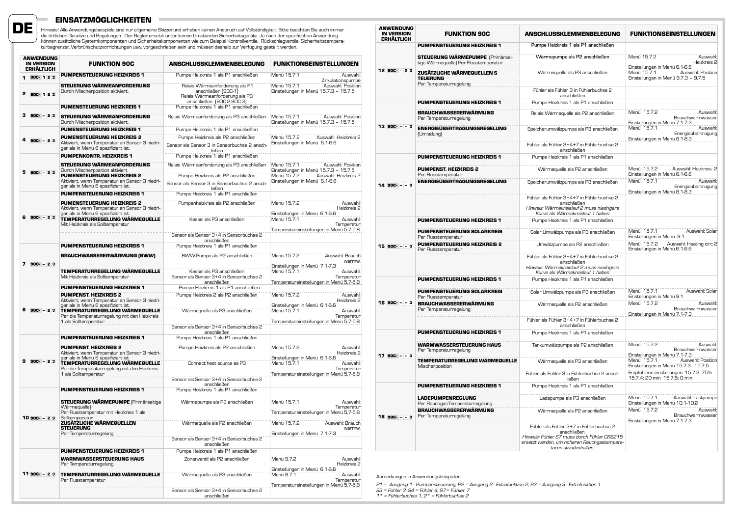

# **EINSATZMÖGLICHKEITEN**

Hinweis! Alle Anwendungsbeispiele sind nur allgemeine Skizzenund erheben keinen Anspruch auf Vollständigkeit. Bitte beachten Sie auch immer<br>die örtlichen Gesetze und Regelungen. Der Regler ersetzt unter keinen Umständen Si

| ANWENDUNG<br><b>IN VERSION</b><br><b>ERHÄLTLICH</b> | <b>FUNKTION 90C</b>                                                                                                                                                                         | ANSCHLUSSKLEMMENBELEGUNG                                                                                                                   | <b>FUNKTIONSEINSTELLUNGEN</b>                                                                                                                     |
|-----------------------------------------------------|---------------------------------------------------------------------------------------------------------------------------------------------------------------------------------------------|--------------------------------------------------------------------------------------------------------------------------------------------|---------------------------------------------------------------------------------------------------------------------------------------------------|
| 1 900-123                                           | <b>PUMPENSTEUERUNG HEIZKREIS 1</b>                                                                                                                                                          | Pumpe Heizkreis 1 als P1 anschließen                                                                                                       | Menü 15.7.1<br>Auswahl:<br>Zirkulationspumpe                                                                                                      |
| 2 900-123                                           | STEUERUNG WÄRMEANFORDERUNG<br>Durch Mischerposition aktiviert.                                                                                                                              | Relais Wärmeanforderung als P1<br>anschließen (90C-1)<br>Relais Wärmeanforderung als P3<br>anschließen (90C-2,90C-3)                       | Menü 15.7.1<br>Auswahl: Position<br>Einstellungen in Menü 15.7.3 - 15.7.5                                                                         |
|                                                     | <b>PUMENSTEUERUNG HEIZKREIS 1</b>                                                                                                                                                           | Pumpe Heizkreis 1 als P1 anschließen                                                                                                       |                                                                                                                                                   |
| $3$ 90C $-23$                                       | STEUERUNG WÄRMEANFORDERUNG<br>Durch Mischerposition aktiviert.                                                                                                                              | Relais Wärmeanforderung als P3 anschließen                                                                                                 | Menü 15.7.1<br>Auswahl: Position<br>Einstellungen in Menü 15.7.3 - 15.7.5                                                                         |
|                                                     | <b>PUMENSTEUERUNG HEIZKREIS 1</b>                                                                                                                                                           | Pumpe Heizkreis 1 als P1 anschließen                                                                                                       |                                                                                                                                                   |
| 4 90C- - 23                                         | <b>PUMENSTEUERUNG HEIZKREIS 2</b><br>Aktiviert, wenn Temperatur an Sensor 3 niedri-<br>ger als in Menü 6 spezifiziert ist.                                                                  | Pumpe Heizkreis als P2 anschließen<br>Sensor als Sensor 3 in Sensorbuchse 2 ansch-<br>ließen                                               | Menü 15.7.2<br>Auswahl: Heizkreis 2<br>Einstellungen in Menü 6.1-6.6                                                                              |
|                                                     | <b>PUMPENKONTR. HEIZKREIS 1</b>                                                                                                                                                             | Pumpe Heizkreis 1 als P1 anschließen                                                                                                       |                                                                                                                                                   |
| $5$ 90C - 23                                        | STEUERUNG WÄRMEANFORDERUNG<br>Durch Mischerposition aktiviert<br><b>PUMENSTEUERUNG HEIZKREIS 2</b><br>Aktiviert, wenn Temperatur an Sensor 3 niedri-<br>ger als in Menü 6 spezifiziert ist. | Relais Wärmeanforderung als P3 anschließen<br>Pumpe Heizkreis als P2 anschließen<br>Sensor als Sensor 3 in Sensorbuchse 2 ansch-<br>ließen | Menü 15.7.1<br>Auswahl: Position<br>Einstellungen in Menü 15.7.3 - 15.7.5<br>Menü 15.7.2<br>Auswahl: Heizkreis 2<br>Einstellungen in Menü 6.1-6.6 |
|                                                     | <b>PUMPENSTEUERUNG HEIZKREIS 1</b>                                                                                                                                                          | Pumpe Heizkreis 1 als P1 anschließen                                                                                                       |                                                                                                                                                   |
| 6 90C- - 23                                         | <b>PUMENSTEUERUNG HEIZKREIS 2</b><br>Aktiviert, wenn Temperatur an Sensor 3 niedri-<br>ger als in Menü 6 spezifiziert ist.<br>TEMPERATURREGELUNG WÄRMEQUELLE                                | Pumpenheizkreis als P2 anschließen<br>Kessel als P3 anschließen                                                                            | Menü 15.7.2<br>Auswahl:<br>Heizkreis 2<br>Einstellungen in Menü 6.1-6.6<br>Menü 15.7.1<br>Auswahl:                                                |
|                                                     | Mit Heizkreis als Solltemperatur                                                                                                                                                            | Sensor als Sensor 3+4 in Sensorbuchse 2                                                                                                    | Temperatur<br>Temperatureinstellungen in Menü 5.7-5.8                                                                                             |
|                                                     | <b>PUMPENSTEUERUNG HEIZKREIS 1</b>                                                                                                                                                          | anschließen<br>Pumpe Heizkreis 1 als P1 anschließen                                                                                        |                                                                                                                                                   |
|                                                     | <b>BRAUCHWASSERERWÄRMUNG (BWW)</b>                                                                                                                                                          | BWW-Pumpe als P2 anschließen                                                                                                               | Menü 15.7.2<br>Auswahl: Brauch<br><b>Warmw</b>                                                                                                    |
| $7.90C - 23$                                        | TEMPERATURREGELUNG WÄRMEQUELLE<br>Mit Heizkreis als Solltemperatur                                                                                                                          | Kessel als P3 anschließen<br>Sensor als Sensor 3+4 in Sensorbuchse 2<br>anschließen                                                        | Einstellungen in Menü 7.1-7.3<br>Menü 15.7.1<br>Auswahl:<br>Temperatur<br>Temperatureinstellungen in Menü 5.7-5.8                                 |
|                                                     | <b>PUMPENSTEUERUNG HEIZKREIS 1</b>                                                                                                                                                          | Pumpe Heizkreis 1 als P1 anschließen                                                                                                       |                                                                                                                                                   |
|                                                     | <b>PUMPENST. HEIZKREIS 2</b><br>Aktiviert, wenn Temperatur an Sensor 3 niedri-<br>ger als in Menü 6 spezifiziert ist.                                                                       | Pumpe Heizkreis 2 als P2 anschließen                                                                                                       | Menü 15.7.2<br>Auswahl:<br>Heizkreis 2<br>Einstellungen in Menü 6.1-6.6                                                                           |
| $8$ 90C - 23                                        | TEMPERATURREGELUNG WÄRMEQUELLE<br>Per die Temperaturregelung mit den Heizkreis<br>1 als Solltemperatur                                                                                      | Wärmequelle als P3 anschließen<br>Sensor als Sensor 3+4 in Sensorbuchse 2                                                                  | Menü 15.7.1<br>Auswahl:<br>Temperatur<br>Temperatureinstellungen in Menü 5.7-5.8                                                                  |
|                                                     | <b>PUMPENSTEUERUNG HEIZKREIS 1</b>                                                                                                                                                          | anschließen                                                                                                                                |                                                                                                                                                   |
|                                                     |                                                                                                                                                                                             | Pumpe Heizkreis 1 als P1 anschließen                                                                                                       |                                                                                                                                                   |
|                                                     | <b>PUMPENST. HEIZKREIS 2</b><br>Aktiviert, wenn Temperatur an Sensor 3 niedri-<br>ger als in Menü 6 spezifiziert ist                                                                        | Pumpe Heizkreis als P2 anschließen                                                                                                         | Menü 15.7.2<br>Auswahl <sup>-</sup><br>Heizkreis 2<br>Einstellungen in Menü 6.1-6.6                                                               |
| $9 90C - 23$                                        | TEMPERATURREGELUNG WÄRMEQUELLE<br>Per die Temperaturregelung mit den Heizkreis<br>1 als Solltemperatur                                                                                      | Connect heat source as P3                                                                                                                  | Menü 15.7.1<br>Auswahl:<br>Temperatur<br>Temperatureinstellungen in Menü 5.7-5.8                                                                  |
|                                                     |                                                                                                                                                                                             | Sensor als Sensor 3+4 in Sensorbuchse 2<br>anschließen                                                                                     |                                                                                                                                                   |
|                                                     | <b>PUMPENSTEUERUNG HEIZKREIS 1</b>                                                                                                                                                          | Pumpe Heizkreis 1 als P1 anschließen                                                                                                       |                                                                                                                                                   |
|                                                     | <b>STEUERUNG WÄRMEPUMPE (Primärseitige</b><br>Wärmequelle)                                                                                                                                  | Wärmepumpe als P3 anschließen                                                                                                              | Menü 15.7.1<br>Auswahl:<br>Temperatur                                                                                                             |
| $1090C - 23$                                        | Per Flusstemperatur mit Heizkreis 1 als<br>Solltemperatur                                                                                                                                   |                                                                                                                                            | Temperatureinstellungen in Menü 5.7-5.8                                                                                                           |
|                                                     | ZUSÄTZLICHE WÄRMEQUELLEN<br><b>STELLERUNG</b>                                                                                                                                               | Wärmequelle als P2 anschließen                                                                                                             | Menü 15.7.2<br>Auswahl: Brauch<br>warmw<br>Einstellungen in Menü 7.1-7.3                                                                          |
|                                                     | Per Temperaturregelung                                                                                                                                                                      | Sensor als Sensor 3+4 in Sensorbuchse 2<br>anschließen                                                                                     |                                                                                                                                                   |
|                                                     | <b>PUMPENSTEUERUNG HEIZKREIS 1</b>                                                                                                                                                          | Pumpe Heizkreis 1 als P1 anschließen                                                                                                       |                                                                                                                                                   |
|                                                     | <b>WARMWASSERSTEUERUNG HAUS</b><br>Per Temperaturregelung                                                                                                                                   | Zonenventil als P2 anschließen                                                                                                             | Menü 9.7.2<br>Auswahl:<br>Heizkreis 2<br>Einstellungen in Menü 6.1-6.6                                                                            |
| $11$ 90C $-23$                                      | TEMPERATURREGELUNG WÄRMEQUELLE<br>Per Flusstemperatur                                                                                                                                       | Wärmequelle als P3 anschließen                                                                                                             | Menü 9.7.1<br>Auswahl:<br>Temperatur                                                                                                              |
|                                                     |                                                                                                                                                                                             | Sensor als Sensor 3+4 in Sensorbuchse 2<br>anschließen                                                                                     | Temperatureinstellungen in Menü 5.7-5.8                                                                                                           |

| <b>ANWENDUNG</b><br><b>IN VERSION</b><br><b>ERHÄLTLICH</b> | <b>FUNKTION 90C</b>                                                              | ANSCHLUSSKLEMMENBELEGUNG                                                                                                                                                      | <b>FUNKTIONSEINSTELLUNGEN</b>                                                                            |
|------------------------------------------------------------|----------------------------------------------------------------------------------|-------------------------------------------------------------------------------------------------------------------------------------------------------------------------------|----------------------------------------------------------------------------------------------------------|
|                                                            | <b>PUMPENSTEUERUNG HEIZKREIS 1</b>                                               | Pumpe Heizkreis 1 als P1 anschließen                                                                                                                                          |                                                                                                          |
|                                                            | <b>STEUERUNG WÄRMEPUMPE</b> (Primärsei-<br>tige Wärmequelle) Per Flusstemperatur | Wärmepumpe als P2 anschließen                                                                                                                                                 | Menü 15.7.2<br>Auswahl:<br>Heizkreis 2                                                                   |
| 12 900 - 23                                                | ZUSÄTZLICHE WÄRMEQUELLEN S<br><b>TEUERUNG</b><br>Per Temperaturregelung          | Wärmequelle als P3 anschließen                                                                                                                                                | Einstellungen in Menü 6.1-6.6<br>Menü 15.7.1<br>Auswahl: Position<br>Einstellungen in Menü 9.7.3 - 9.7.5 |
|                                                            |                                                                                  | Fühler als Fühler 3 in Fühlerbuchse 2<br>anschließen                                                                                                                          |                                                                                                          |
|                                                            | <b>PUMPENSTEUERUNG HEIZKREIS 1</b>                                               | Pumpe Heizkreis 1 als P1 anschließen                                                                                                                                          |                                                                                                          |
|                                                            | <b>BRAUCHWASSERERWÄRMUNG</b><br>Per Temperaturregelung                           | Relais Wärmequelle als P2 anschließen                                                                                                                                         | Menü 15.7.2<br>Auswahl:<br>Brauchwarmwasser<br>Einstellungen in Menü 7.1-7.3                             |
| $13$ 90C - $-3$                                            | <b>ENERGIEÜBERTRAGUNGSREGELUNG</b><br>(Umladung)                                 | Speicherumwälzpumpe als P3 anschließen                                                                                                                                        | Menü 15.7.1<br>Auswahl:<br>Energieübertragung<br>Einstellungen in Menü 8.1-8.3                           |
|                                                            |                                                                                  | Fühler als Fühler 3+4+7 in Fühlerbuchse 2<br>anschließen                                                                                                                      |                                                                                                          |
|                                                            | <b>PUMPENSTEUERUNG HEIZKREIS 1</b>                                               | Pumpe Heizkreis 1 als P1 anschließen                                                                                                                                          |                                                                                                          |
|                                                            | <b>PUMPENST, HEIZKREIS 2</b><br>Per Flusstemperatur                              | Wärmequelle als P2 anschließen                                                                                                                                                | Menü 15.7.2<br>Auswahl: Heizkreis 2<br>Einstellungen in Menü 6.1-6.6                                     |
| $14 90C - 3$                                               | <b>ENERGIEÜBERTRAGUNGSREGELUNG</b>                                               | Speicherumwälzpumpe als P3 anschließen                                                                                                                                        | Menü 15.7.1<br>Auswahl:<br>Energieübertragung<br>Einstellungen in Menü 8.1-8.3                           |
|                                                            |                                                                                  | Fühler als Fühler 3+4+7 in Fühlerbuchse 2<br>anschließen<br>Hinweis: Wärmekreislauf 2 muss niedrigere<br>Kurve als Wärmekreislauf 1 haben                                     |                                                                                                          |
|                                                            | <b>PUMPENSTEUERUNG HEIZKREIS 1</b>                                               | Pumpe Heizkreis 1 als P1 anschließen                                                                                                                                          |                                                                                                          |
|                                                            | <b>PUMPENSTEUERUNG SOLARKREIS</b><br>Per Flusstemperatur                         | Solar Umwälzpumpe als P3 anschließen                                                                                                                                          | Menü 15.7.1<br>Auswahl: Solar<br>Einstellungen in Menü 9.1                                               |
| $15 90C - - 3$                                             | <b>PUMPENSTEUERUNG HEIZKREIS 2</b><br>Per Flusstemperatur                        | Umwälzpumpe als P2 anschließen                                                                                                                                                | Menü 15.7.2<br>Auswahl: Heating circ 2<br>Einstellungen in Menü 6.1-6.6                                  |
|                                                            |                                                                                  | Fühler als Fühler 3+4+7 in Fühlerbuchse 2<br>anschließen<br>Hinweis: Wärmekreislauf 2 muss niedrigere<br>Kurve als Wärmekreislauf 1 haben                                     |                                                                                                          |
|                                                            | <b>PUMPENSTEUERUNG HEIZKREIS 1</b>                                               | Pumpe Heizkreis 1 als P1 anschließen                                                                                                                                          |                                                                                                          |
|                                                            | <b>PUMPENSTEUERUNG SOLARKREIS</b><br>Per Flusstemperatur                         | Solar Umwälzpumpe als P3 anschließen                                                                                                                                          | Menü 15.7.1<br>Auswahl: Solar<br>Einstellungen in Menü 9.1                                               |
| $16$ 90C $ -$ 3                                            | <b>BRAUCHWASSERERWÄRMUNG</b><br>Per Temperaturregelung                           | Wärmequelle als P2 anschließen                                                                                                                                                | Menü 15.7.2<br>Auswahl:<br>Brauchwarmwasser<br>Einstellungen in Menü 7.1-7.3                             |
|                                                            |                                                                                  | Fühler als Fühler 3+4+7 in Fühlerbuchse 2<br>anschließen                                                                                                                      |                                                                                                          |
|                                                            | <b>PUMPENSTEUERUNG HEIZKREIS 1</b>                                               | Pumpe Heizkreis 1 als P1 anschließen                                                                                                                                          |                                                                                                          |
|                                                            | <b>WARMWASSERSTEUERUNG HAUS</b><br>Per Temperaturregelung                        | Tankumwälzpumpe als P2 anschließen                                                                                                                                            | Menü 15.7.2<br>Auswahl:<br>Brauchwarmwasser<br>Einstellungen in Menü 7.1-7.3                             |
| $17 90C - - 3$                                             | TEMPERATURREGELUNG WÄRMEQUELLE<br>Mischerposition                                | Wärmequelle als P3 anschließen                                                                                                                                                | Menü 15.7.1<br>Auswahl: Position<br>Einstellungen in Menü 15.7.3 - 15.7.5                                |
|                                                            |                                                                                  | Fühler als Fühler 3 in Fühlerbuchse 2 ansch-<br>ließen                                                                                                                        | Empfohlene einstellungen: 15.7.3: 75%<br>15.7.4: 20 min 15.7.5: 0 min                                    |
|                                                            | <b>PUMPENSTEUERUNG HEIZKREIS 1</b>                                               | Pumpe Heizkreis 1 als P1 anschließen                                                                                                                                          |                                                                                                          |
|                                                            | <b>LADEPUMPENREGLUNG</b><br>Per Rauchgas-Temperaturregelung                      | Ladepumpe als P3 anschließen                                                                                                                                                  | Menü 15.7.1<br>Auswahl: Lastpumpe<br>Einstellungen in Menü 10.1-10.2                                     |
| $18$ 90C $ -$ 3                                            | <b>BRAUCHWASSERERWÄRMUNG</b><br>Per Temperaturregelung                           | Wärmequelle als P2 anschließen                                                                                                                                                | Menü 15.7.2<br>Auswahl:<br>Brauchwarmwasser<br>Einstellungen in Menü 7.1-7.3                             |
|                                                            |                                                                                  | Fühler als Fühler 3+7 in Fühlerbuchse 2<br>anschließen.<br>Hinweis: Fühler S7 muss durch Fühler CRS215<br>ersetzt werden, um höheren Rauchgastempera-<br>turen standzuhalten. |                                                                                                          |

Anmerkungen in Anwendungsbeispielen:

P1 = Ausgang 1 - Pumpensteuerung, P2 = Ausgang 2 - Extrafunktion 2, P3 = Ausgang 3 - Extrafunktion 1<br>S3 = Fühler 3, S4 = Fühler 4, S7 = Fühler 7<br>1 \* = Fühlerbuchse 1, 2\* = Fühlerbuchse 2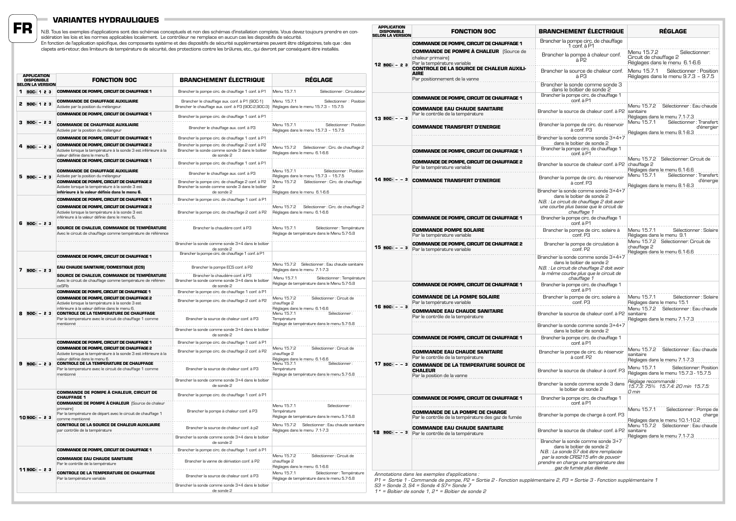## **VARIANTES HYDRAULIQUES**

N.B. Tous les exemples d'applications sont des schémas conceptuels et non des schémas d'installation complets. Vous devez toujours prendre en con-<br>sidération les lois et les normes applicables localement. Le contrôleur ne En fonction de l'application spécifique, des composants système et des dispositifs de sécurité supplémentaires peuvent être obligatoires, tels que : des<br>clapets anti-retour, des limiteurs de température de sécurité, des pr **FR**

| <b>APPLICATION</b><br><b>DISPONIBLE</b><br><b>SELON LA VERSION</b> | <b>FONCTION 90C</b>                                                                                                                                   | <b>BRANCHEMENT ÉLECTRIQUE</b>                                                                                                              | RÉGLAGE                                                                                            |
|--------------------------------------------------------------------|-------------------------------------------------------------------------------------------------------------------------------------------------------|--------------------------------------------------------------------------------------------------------------------------------------------|----------------------------------------------------------------------------------------------------|
| 1 900-123                                                          | <b>COMMANDE DE POMPE, CIRCUIT DE CHAUFFAGE 1</b>                                                                                                      | Brancher la pompe circ. de chauffage 1 conf. à P1                                                                                          | Menu 15.7.1<br>Sélectionner : Circulateur                                                          |
| 2 900-123                                                          | <b>COMMANDE DE CHAUFFAGE AUXILIAIRE</b><br>Activée par la position du mélangeur.                                                                      | Brancher le chauffage aux. conf. à P1 (90C-1)<br>Brancher le chauffage aux. conf. à P3 (90C-2,90C-3) Réglages dans le menu 15.7.3 - 15.7.5 | Menu 15.7.1<br>Sélectionner : Position                                                             |
|                                                                    | <b>COMMANDE DE POMPE, CIRCUIT DE CHAUFFAGE 1</b>                                                                                                      | Brancher la pompe circ. de chauffage 1 conf. à P1                                                                                          |                                                                                                    |
| $3$ 90C - 23                                                       | <b>COMMANDE DE CHAUFFAGE AUXILIAIRE</b><br>Activée par la position du mélangeur                                                                       | Brancher le chauffage aux. conf. à P3                                                                                                      | Menu 15.7.1<br>Sélectionner : Position<br>Réglages dans le menu 15.7.3 - 15.7.5                    |
|                                                                    | <b>COMMANDE DE POMPE, CIRCUIT DE CHAUFFAGE 1</b>                                                                                                      | Brancher la pompe circ. de chauffage 1 conf. à P1                                                                                          |                                                                                                    |
| $4$ 90C - 23                                                       | <b>COMMANDE DE POMPE, CIRCUIT DE CHAUFFAGE 2</b><br>Activée lorsque la température à la sonde 3 est inférieure à la<br>valeur définie dans le menu 6. | Brancher la pompe circ. de chauffage 2 conf. à P2<br>Brancher la sonde comme sonde 3 dans le boîtier<br>de sonde 2                         | Menu 15.7.2<br>Sélectionner : Circ. de chauffage 2<br>Réglages dans le menu 6.1-6.6                |
|                                                                    | <b>COMMANDE DE POMPE, CIRCUIT DE CHAUFFAGE 1</b>                                                                                                      | Brancher la pompe circ. de chauffage 1 conf. à P1                                                                                          |                                                                                                    |
| $5$ 90C - 23                                                       | <b>COMMANDE DE CHAUFFAGE AUXILIAIRE</b><br>Activée par la position du mélangeur                                                                       | Brancher le chauffage aux. conf. à P3                                                                                                      | Sélectionner : Position<br>Menu 15.7.1<br>Réglages dans le menu 15.7.3 - 15.7.5                    |
|                                                                    | <b>COMMANDE DE POMPE, CIRCUIT DE CHAUFFAGE 2</b><br>Activée lorsque la température à la sonde 3 est<br>inférieure à la valeur définie dans le menu 6. | Brancher la pompe circ. de chauffage 2 conf. à P2<br>Brancher la sonde comme sonde 3 dans le boîtier<br>de sonde 2                         | Sélectionner : Circ. de chauffage<br>Menu 15.7.2<br>$\mathcal{P}$<br>Réglages dans le menu 6.1-6.6 |
|                                                                    | <b>COMMANDE DE POMPE. CIRCUIT DE CHAUFFAGE 1</b>                                                                                                      | Brancher la pompe circ. de chauffage 1 conf. à P1                                                                                          |                                                                                                    |
|                                                                    | <b>COMMANDE DE POMPE. CIRCUIT DE CHAUFFAGE 2</b><br>Activée lorsque la température à la sonde 3 est<br>inférieure à la valeur définie dans le menu 6. | Brancher la pompe circ. de chauffage 2 conf. à P2                                                                                          | Sélectionner : Circ. de chauffage 2<br>Menu 15.7.2<br>Réglages dans le menu 6.1-6.6                |
| $6$ 90C - 23                                                       | SOURCE DE CHALEUR, COMMANDE DE TEMPÉRATURE<br>Avec le circuit de chauffage comme température de référence                                             | Brancher la chaudière conf. à P3                                                                                                           | Menu 15.7.1<br>Sélectionner : Température<br>Réglage de température dans le Menu 5.7-5.8           |
|                                                                    |                                                                                                                                                       | Brancher la sonde comme sonde 3+4 dans le boîtier<br>de sonde 2                                                                            |                                                                                                    |
|                                                                    | <b>COMMANDE DE POMPE, CIRCUIT DE CHAUFFAGE 1</b>                                                                                                      | Brancher la pompe circ. de chauffage 1 conf. à P1                                                                                          |                                                                                                    |
| $7.90C - 2.3$                                                      | EAU CHAUDE SANITAIRE/DOMESTIQUE (ECS)                                                                                                                 | Brancher la pompe ECS conf. à P2                                                                                                           | Menu 15.7.2 Sélectionner : Eau chaude sanitaire<br>Réglages dans le menu 7.1-7.3                   |
|                                                                    | SOURCE DE CHALEUR, COMMANDE DE TEMPÉRATURE<br>Avec le circuit de chauffage comme température de référen-                                              | Brancher la chaudière conf. à P3<br>Brancher la sonde comme sonde 3+4 dans le boîtier                                                      | Menu 15.7.1<br>Sélectionner : Température<br>Réglage de température dans le Menu 5.7-5.8           |
|                                                                    | ceSFlb<br><b>COMMANDE DE POMPE, CIRCUIT DE CHAUFFAGE 1</b>                                                                                            | de sonde 2<br>Brancher la pompe circ. de chauffage 1 conf. à P1                                                                            |                                                                                                    |
|                                                                    | <b>COMMANDE DE POMPE. CIRCUIT DE CHAUFFAGE 2</b><br>Activée lorsque la température à la sonde 3 est<br>inférieure à la valeur définie dans le menu 6. | Brancher la pompe circ. de chauffage 2 conf. à P2                                                                                          | Menu 15.7.2<br>Sélectionner : Circuit de<br>chauffage 2<br>Réglages dans le menu 6.1-6.6           |
| 8 90C- - 23                                                        | <b>CONTROLE DE LA TEMPERATURE DE CHAUFFAGE</b><br>Par la temperature avec le circuit de chauffage 1 comme<br>mentionné                                | Brancher la source de chaleur conf. à P3                                                                                                   | Menu 15.7.1<br>Sélectionner :<br>Température<br>Réglage de température dans le menu 5.7-5.8        |
|                                                                    |                                                                                                                                                       | Brancher la sonde comme sonde 3+4 dans le boîtier<br>de sonde 2                                                                            |                                                                                                    |
|                                                                    | <b>COMMANDE DE POMPE, CIRCUIT DE CHAUFFAGE 1</b>                                                                                                      | Brancher la pompe circ. de chauffage 1 conf. à P1                                                                                          |                                                                                                    |
|                                                                    | <b>COMMANDE DE POMPE, CIRCUIT DE CHAUFFAGE 2</b><br>Activée lorsque la température à la sonde 3 est inférieure à la<br>valeur définie dans le menu 6. | Brancher la pompe circ. de chauffage 2 conf. à P2                                                                                          | Menu 15.7.2<br>Sélectionner : Circuit de<br>chauffage 2<br>Réglages dans le menu 6.1-6.6           |
| $90C - 23$                                                         | <b>CONTROLE DE LA TEMPERATURE DE CHAUFFAGE</b><br>Par la temperature avec le circuit de chauffage 1 comme<br>mentionné                                | Brancher la source de chaleur conf. à P3                                                                                                   | Sélectionner :<br>Menu 15.7.1<br>Température<br>Réglage de température dans le menu 5.7-5.8        |
|                                                                    |                                                                                                                                                       | Brancher la sonde comme sonde 3+4 dans le boîtier<br>de sonde 2                                                                            |                                                                                                    |
|                                                                    | <b>COMMANDE DE POMPE À CHALEUR. CIRCUIT DE</b><br><b>CHAUFFAGE 1</b>                                                                                  | Brancher la pompe circ. de chauffage 1 conf. à P1                                                                                          |                                                                                                    |
| $1090C - 23$                                                       | <b>COMMANDE DE POMPE À CHALEUR</b> (Source de chaleur<br>primairel<br>Par la température de départ avec le circuit de chauffage 1<br>comme mentionné  | Brancher la pompe à chaleur conf. à P3                                                                                                     | Menu 15.7.1<br>Sélectionner :<br>Température<br>Réglage de température dans le menu 5.7-5.8        |
|                                                                    | <b>CONTROLE DE LA SOURCE DE CHALEUR AUXILIAIRE</b><br>par contrôle de la température                                                                  | Brancher la source de chaleur conf. à p2                                                                                                   | Menu 15.7.2<br>Sélectionner : Eau chaude sanitaire<br>Réglages dans le menu 7.1-7.3                |
|                                                                    |                                                                                                                                                       | Brancher la sonde comme sonde 3+4 dans le boîtier<br>de sonde 2                                                                            |                                                                                                    |
|                                                                    | <b>COMMANDE DE POMPE, CIRCUIT DE CHAUFFAGE 1</b>                                                                                                      | Brancher la pompe circ. de chauffage 1 conf. à P1                                                                                          |                                                                                                    |
|                                                                    | <b>COMMANDE EAU CHAUDE SANITAIRE</b><br>Par le contrôle de la température                                                                             | Brancher la vanne de dérivation conf. à P2                                                                                                 | Sélectionner : Circuit de<br>Menu 15.7.2<br>chauffage 2<br>Réglages dans le menu 6.1-6.6           |
| $1190C - 23$                                                       | <b>CONTROLE DE LA TEMPERATURE DE CHAUFFAGE</b><br>Par la température variable                                                                         | Brancher la source de chaleur conf. à P3                                                                                                   | Sélectionner : Température<br>Menu 15.7.1<br>Réglage de température dans le menu 5.7-5.8           |
|                                                                    |                                                                                                                                                       | Brancher la sonde comme sonde 3+4 dans le boîtier<br>de sonde 2                                                                            |                                                                                                    |

| <b>APPLICATION</b><br><b>DISPONIBLE</b><br><b>SELON LA VERSION</b> | <b>FONCTION 90C</b>                                                                               | <b>BRANCHEMENT ÉLECTRIQUE</b>                                                                                                                                                                                         | <b>RÉGLAGE</b>                                                                          |
|--------------------------------------------------------------------|---------------------------------------------------------------------------------------------------|-----------------------------------------------------------------------------------------------------------------------------------------------------------------------------------------------------------------------|-----------------------------------------------------------------------------------------|
|                                                                    | COMMANDE DE POMPE, CIRCUIT DE CHAUFFAGE 1                                                         | Brancher la pompe circ. de chauffage<br>1 conf. à P1                                                                                                                                                                  |                                                                                         |
| $1290C - 23$                                                       | <b>COMMANDE DE POMPE À CHALEUR</b> (Source de<br>chaleur primaire)<br>Par la température variable | Brancher la pompe à chaleur conf.<br>à P2                                                                                                                                                                             | Menu 15.7.2<br>Sélectionner:<br>Circuit de chauffage 2<br>Réglages dans le menu 6.1-6.6 |
|                                                                    | <b>CONTROLE DE LA SOURCE DE CHALEUR AUXILI-</b><br><b>AIRE</b><br>Par positionnement de la vanne  | Brancher la source de chaleur conf.<br>à P3                                                                                                                                                                           | Menu 15.7.1<br>Sélectionner : Position<br>Réglages dans le menu 9.7.3 - 9.7.5           |
|                                                                    |                                                                                                   | Brancher la sonde comme sonde 3<br>dans le boîtier de sonde 2<br>Brancher la pompe circ. de chauffage 1                                                                                                               |                                                                                         |
|                                                                    | <b>COMMANDE DE POMPE, CIRCUIT DE CHAUFFAGE 1</b>                                                  | conf. à P1                                                                                                                                                                                                            |                                                                                         |
| $13 90C - - 3$                                                     | <b>COMMANDE EAU CHAUDE SANITAIRE</b><br>Par le contrôle de la température                         | Brancher la source de chaleur conf. à P2                                                                                                                                                                              | Menu 15.7.2<br>Sélectionner : Eau chaude<br>sanitaire<br>Réglages dans le menu 7.1-7.3  |
|                                                                    | <b>COMMANDE TRANSFERT D'ENERGIE</b>                                                               | Brancher la pompe de circ. du réservoir<br>à conf. P3                                                                                                                                                                 | Menu 15.7.1<br>Sélectionner : Transfert<br>d'énergier<br>Réglages dans le menu 8.1-8.3  |
|                                                                    |                                                                                                   | Brancher la sonde comme sonde 3+4+7<br>dans le boîtier de sonde 2                                                                                                                                                     |                                                                                         |
|                                                                    | COMMANDE DE POMPE, CIRCUIT DE CHAUFFAGE 1                                                         | Brancher la pompe circ. de chauffage 1                                                                                                                                                                                |                                                                                         |
|                                                                    | <b>COMMANDE DE POMPE, CIRCUIT DE CHAUFFAGE 2</b><br>Par la température variable                   | conf. à P1<br>Brancher la source de chaleur conf. à P2                                                                                                                                                                | Menu 15.7.2 Sélectionner: Circuit de<br>chauffage 2<br>Réglages dans le menu 6.1-6.6    |
| $14$ 90C- $ -$ 3                                                   | <b>COMMANDE TRANSFERT D'ENERGIE</b>                                                               | Brancher la pompe de circ. du réservoir<br>à conf. P3                                                                                                                                                                 | Menu 15.7.1<br>Sélectionner : Transfert<br>d'énergie<br>Réglages dans le menu 8.1-8.3   |
|                                                                    |                                                                                                   | Brancher la sonde comme sonde 3+4+7<br>dans le boîtier de sonde 2<br>N.B. : Le circuit de chauffage 2 doit avoir<br>une courbe plus basse que le circuit de<br>chauffage 1                                            |                                                                                         |
|                                                                    | COMMANDE DE POMPE, CIRCUIT DE CHAUFFAGE 1                                                         | Brancher la pompe circ. de chauffage 1<br>conf. à P1                                                                                                                                                                  |                                                                                         |
|                                                                    | <b>COMMANDE POMPE SOLAIRE</b><br>Par la température variable                                      | Brancher la pompe de circ. solaire à<br>conf. P3                                                                                                                                                                      | Menu 15.7.1<br>Sélectionner : Solaire<br>Réglages dans le menu 9.1                      |
| $15$ 90C $-$ - 3                                                   | <b>COMMANDE DE POMPE. CIRCUIT DE CHAUFFAGE 2</b><br>Par la température variable                   | Brancher la pompe de circulation à<br>conf. P2                                                                                                                                                                        | Menu 15.7.2 Sélectionner: Circuit de<br>chauffage 2<br>Réglages dans le menu 6.1-6.6    |
|                                                                    |                                                                                                   | Brancher la sonde comme sonde 3+4+7<br>dans le boîtier de sonde 2<br>N.B. : Le circuit de chauffage 2 doit avoir<br>la même courbe plus que le circuit de<br>chauffage 1                                              |                                                                                         |
|                                                                    | <b>COMMANDE DE POMPE, CIRCUIT DE CHAUFFAGE 1</b>                                                  | Brancher la pompe circ. de chauffage 1<br>conf. à P1                                                                                                                                                                  |                                                                                         |
|                                                                    | <b>COMMANDE DE LA POMPE SOLAIRE</b><br>Par la température variable                                | Brancher la pompe de circ. solaire à<br>conf. P3                                                                                                                                                                      | Menu 15.7.1<br>Sélectionner : Solaire<br>Réglages dans le menu 15.1                     |
| 16 900---3                                                         | <b>COMMANDE EAU CHAUDE SANITAIRE</b><br>Par le contrôle de la température                         | Brancher la source de chaleur conf. à P2                                                                                                                                                                              | Menu 15.7.2 Sélectionner : Eau chaude<br>sanitaire<br>Réglages dans le menu 7.1-7.3     |
|                                                                    |                                                                                                   | Brancher la sonde comme sonde 3+4+7<br>dans le boîtier de sonde 2                                                                                                                                                     |                                                                                         |
|                                                                    | <b>COMMANDE DE POMPE. CIRCUIT DE CHAUFFAGE 1</b>                                                  | Brancher la pompe circ. de chauffage 1<br>conf. à P1                                                                                                                                                                  |                                                                                         |
|                                                                    | <b>COMMANDE EAU CHAUDE SANITAIRE</b><br>Par le contrôle de la température                         | Brancher la pompe de circ. du réservoir<br>à conf. P2                                                                                                                                                                 | Menu 15.7.2 Sélectionner : Eau chaude<br>sanitaire<br>Réglages dans le menu 7.1-7.3     |
| 17 $90C - -3$                                                      | <b>COMMANDE DE LA TEMPERATURE SOURCE DE</b><br><b>CHALEUR</b><br>Par la position de la vanne      | Brancher la source de chaleur à conf. P3                                                                                                                                                                              | Sélectionner: Position<br>Menu 15.7.1<br>Réglages dans le menu 15.7.3 - 15.7.5          |
|                                                                    |                                                                                                   | Brancher la sonde comme sonde 3 dans<br>le boîtier de sonde 2                                                                                                                                                         | Réglage recommandé :<br>15.7.3: 75% 15.7.4: 20 min 15.7.5:<br>0 min                     |
|                                                                    | COMMANDE DE POMPE, CIRCUIT DE CHAUFFAGE 1                                                         | Brancher la pompe circ. de chauffage 1<br>conf. à P1                                                                                                                                                                  |                                                                                         |
|                                                                    | <b>COMMANDE DE LA POMPE DE CHARGE</b><br>Par le contrôle de la température des gaz de fumée       | Brancher la pompe de charge à conf. P3                                                                                                                                                                                | Menu 15.7.1<br>Sélectionner : Pompe de<br>charge<br>Réglages dans le menu 10.1-10.2     |
| 18 900 - - 3                                                       | <b>COMMANDE EAU CHAUDE SANITAIRE</b><br>Par le contrôle de la température                         | Brancher la source de chaleur conf. à P2                                                                                                                                                                              | Menu 15.7.2<br>Sélectionner : Eau chaude<br>sanitaire<br>Réglages dans le menu 7.1-7.3  |
|                                                                    |                                                                                                   | Brancher la sonde comme sonde 3+7<br>dans le boîtier de sonde 2<br>N.B. : La sonde S7 doit être remplacée<br>par la sonde CRS215 afin de pouvoir<br>prendre en charge une température des<br>gaz de fumée plus élevée |                                                                                         |

*Annotations dans les exemples d'applications :*

*P1 = Sortie 1 - Commande de pompe, P2 = Sortie 2 - Fonction supplémentaire 2, P3 = Sortie 3 - Fonction supplémentaire 1 S3 = Sonde 3, S4 = Sonde 4 S7= Sonde 7*

*1\* = Boîtier de sonde 1, 2\* = Boîtier de sonde 2*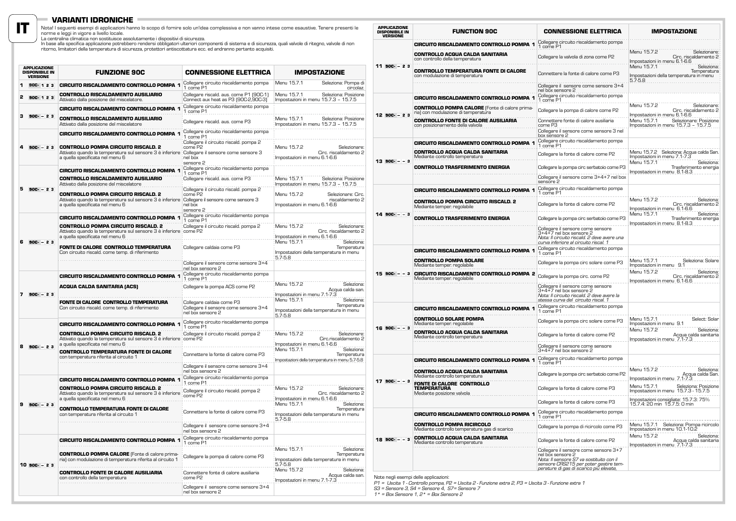### **VARIANTI IDRONICHE**

**IT**

Nota! I seguenti esempi di applicazioni hanno lo scopo di fornire solo un'idea complessiva e non vanno intese come esaustive. Tenere presenti le<br>La centralina climatica applicazione potrebbero rendersi obligatori ulteriori

|   | <b>APPLICAZIONE</b><br><b>DISPONIBILE IN</b><br><b>VERSIONE</b> | <b>FUNZIONE 90C</b>                                                                                                                                                           | <b>CONNESSIONE ELETTRICA</b>                                                                  | <b>IMPOSTAZIONE</b>                                                                               |
|---|-----------------------------------------------------------------|-------------------------------------------------------------------------------------------------------------------------------------------------------------------------------|-----------------------------------------------------------------------------------------------|---------------------------------------------------------------------------------------------------|
|   | 90C-123                                                         | <b>CIRCUITO RISCALDAMENTO CONTROLLO POMPA 1</b>                                                                                                                               | Collegare circuito riscaldamento pompa<br>1 come P1                                           | Menu 15.7.1<br>Seleziona: Pompa di<br>circolaz.                                                   |
| 2 | 90C-123                                                         | <b>CONTROLLO RISCALDAMENTO AUSILIARIO</b><br>Attivato dalla posizione del miscelatore.                                                                                        | Collegare riscald. aus. come P1 (90C-1)<br>Connect aux heat as P3 (90C-2,90C-3)               | Menu 15.7.1<br>Seleziona: Posizione<br>Impostazioni in menu 15.7.3 - 15.7.5                       |
|   |                                                                 | <b>CIRCUITO RISCALDAMENTO CONTROLLO POMPA 1</b>                                                                                                                               | Collegare circuito riscaldamento pompa<br>1 come P1                                           |                                                                                                   |
| 3 | $90C - 23$                                                      | <b>CONTROLLO RISCALDAMENTO AUSILIARIO</b><br>Attivato dalla posizione del miscelatore                                                                                         | Collegare riscald. aus. come P3                                                               | Seleziona: Posizione<br>Menu 15.7.1<br>Impostazioni in menu 15.7.3 - 15.7.5                       |
|   |                                                                 | <b>CIRCUITO RISCALDAMENTO CONTROLLO POMPA 1</b>                                                                                                                               | Collegare circuito riscaldamento pompa<br>1 come P1<br>Collegare il circuito riscald. pompa 2 |                                                                                                   |
| 4 | $90C - 23$                                                      | <b>CONTROLLO POMPA CIRCUITO RISCALD. 2</b><br>Attivato quando la temperatura sul sensore 3 è inferiore<br>a quella specificata nel menu 6                                     | come P2<br>Collegare il sensore come sensore 3<br>nel box<br>sensore 2                        | Menu 15.7.2<br>Selezionare:<br>Circ. riscaldamento 2<br>Impostazioni in menu 6.1-6.6              |
|   |                                                                 | <b>CIRCUITO RISCALDAMENTO CONTROLLO POMPA 1</b>                                                                                                                               | Collegare circuito riscaldamento pompa<br>1 come P1                                           |                                                                                                   |
|   |                                                                 | <b>CONTROLLO RISCALDAMENTO AUSILIARIO</b><br>Attivato dalla posizione del miscelatore                                                                                         | Collegare riscald. aus. come P3                                                               | Menu 15.7.1<br>Seleziona: Posizione<br>Impostazioni in menu 15.7.3 - 15.7.5                       |
|   | $5$ 90C- $-23$                                                  | <b>CONTROLLO POMPA CIRCUITO RISCALD. 2</b><br>Attivato quando la temperatura sul sensore 3 è inferiore Collegare il sensore come sensore 3<br>a quella specificata nel menu 6 | Collegare il circuito riscald. pompa 2<br>come P2<br>nel box<br>sensore 2                     | Menu 15.7.2<br>Selezionare: Circ.<br>riscaldamento 2<br>Impostazioni in menu 6.1-6.6              |
|   |                                                                 | <b>CIRCUITO RISCALDAMENTO CONTROLLO POMPA 1</b>                                                                                                                               | Collegare circuito riscaldamento pompa<br>1 come P1                                           |                                                                                                   |
|   |                                                                 | <b>CONTROLLO POMPA CIRCUITO RISCALD. 2</b><br>Attivato quando la temperatura sul sensore 3 è inferiore come P2<br>a quella specificata nel menu 6                             | Collegare il circuito riscald. pompa 2                                                        | Menu 15.7.2<br>Selezionare:<br>Circ. riscaldamento 2<br>Impostazioni in menu 6.1-6.6              |
| 6 | $90C - 23$                                                      | FONTE DI CALORE CONTROLLO TEMPERATURA<br>Con circuito riscald, come temp, di riferimento                                                                                      | Collegare caldaia come P3                                                                     | Menu 15.7.1<br>Seleziona:<br>Temperatura<br>Impostazioni della temperatura in menu<br>$5.7 - 5.8$ |
|   |                                                                 |                                                                                                                                                                               | Collegare il sensore come sensore 3+4<br>nel box sensore 2                                    |                                                                                                   |
|   |                                                                 | <b>CIRCUITO RISCALDAMENTO CONTROLLO POMPA 1</b>                                                                                                                               | Collegare circuito riscaldamento pompa<br>1 come P1                                           |                                                                                                   |
| 7 | $90C - 23$                                                      | <b>ACQUA CALDA SANITARIA (ACS)</b>                                                                                                                                            | Collegare la pompa ACS come P2                                                                | Menu 15.7.2<br>Seleziona:<br>Acqua calda san.<br>Impostazioni in menu 7.1-7.3                     |
|   |                                                                 | FONTE DI CALORE CONTROLLO TEMPERATURA<br>Con circuito riscald. come temp. di riferimento                                                                                      | Collegare caldaia come P3<br>Collegare il sensore come sensore 3+4<br>nel box sensore 2       | Menu 15.7.1<br>Seleziona:<br>Temperatura<br>Impostazioni della temperatura in menu<br>$5.7 - 5.8$ |
|   |                                                                 | <b>CIRCUITO RISCALDAMENTO CONTROLLO POMPA 1</b>                                                                                                                               | Collegare circuito riscaldamento pompa<br>1 come P1                                           |                                                                                                   |
|   |                                                                 | <b>CONTROLLO POMPA CIRCUITO RISCALD, 2</b><br>Attivato quando la temperatura sul sensore 3 è inferiore come P2<br>a quella specificata nel menu 6                             | Collegare il circuito riscald. pompa 2                                                        | Menu 15.7.2<br>Selezionare:<br>Circ.riscaldamento 2<br>Impostazioni in menu 6.1-6.6               |
|   | $90C - 23$                                                      | <b>CONTROLLO TEMPERATURA FONTE DI CALORE</b><br>con temperatura riferita al circuito 1                                                                                        | Connettere la fonte di calore come P3                                                         | Menu 15.7.1<br>Seleziona:<br>Temperatura<br>Impostazioni della temperatura in menu 5.7-5.8        |
|   |                                                                 |                                                                                                                                                                               | Collegare il sensore come sensore 3+4<br>nel box sensore 2                                    |                                                                                                   |
|   |                                                                 | <b>CIRCUITO RISCALDAMENTO CONTROLLO POMPA 1</b>                                                                                                                               | Collegare circuito riscaldamento pompa<br>1 come P1                                           |                                                                                                   |
|   |                                                                 | <b>CONTROLLO POMPA CIRCUITO RISCALD, 2</b><br>Attivato quando la temperatura sul sensore 3 è inferiore<br>a quella specificata nel menu 6                                     | Collegare il circuito riscald. pompa 2<br>come P2                                             | Menu 15.7.2<br>Selezionare:<br>Circ. riscaldamento 2<br>Impostazioni in menu 6.1-6.6              |
|   | $90C - 23$                                                      | CONTROLLO TEMPERATURA FONTE DI CALORE<br>con temperatura riferita al circuito 1                                                                                               | Connettere la fonte di calore come P3                                                         | Menu 15.7.1<br>Seleziona:<br>Temperatura<br>Impostazioni della temperatura in menu<br>$5.7 - 5.8$ |
|   |                                                                 |                                                                                                                                                                               | Collegare il sensore come sensore 3+4<br>nel box sensore 2                                    |                                                                                                   |
|   |                                                                 | <b>CIRCUITO RISCALDAMENTO CONTROLLO POMPA 1</b>                                                                                                                               | Collegare circuito riscaldamento pompa<br>1 come P1                                           |                                                                                                   |
|   |                                                                 | <b>CONTROLLO POMPA CALORE</b> (Fonte di calore prima-<br>ria) con modulazione di temperatura riferita al circuito 1                                                           | Collegare la pompa di calore come P3                                                          | Menu 15.7.1<br>Seleziona:<br>Temperatura<br>Impostazioni della temperatura in menu                |
|   | $10$ 90C- $-23$                                                 | <b>CONTROLLO FONTE DI CALORE AUSILIARIA</b><br>con controllo della temperatura                                                                                                | Connettere fonte di calore ausiliaria<br>come P2                                              | 5.7-5.8<br>Menu 15.7.2<br>Seleziona:<br>Acqua calda san.<br>Impostazioni in menu 7.1-7.3          |
|   |                                                                 |                                                                                                                                                                               | Collegare il sensore come sensore 3+4<br>nel box sensore 2                                    |                                                                                                   |

| <b>APPLICAZIONE</b><br><b>DISPONIBILE IN</b><br>VERSIONE | <b>FUNCTION 90C</b>                                                                                               | <b>CONNESSIONE ELETTRICA</b>                                                                                                                                                               | <b>IMPOSTAZIONE</b>                                                                                                                                                                                                                                                                                         |
|----------------------------------------------------------|-------------------------------------------------------------------------------------------------------------------|--------------------------------------------------------------------------------------------------------------------------------------------------------------------------------------------|-------------------------------------------------------------------------------------------------------------------------------------------------------------------------------------------------------------------------------------------------------------------------------------------------------------|
|                                                          | CIRCUITO RISCALDAMENTO CONTROLLO POMPA 1                                                                          | Collegare circuito riscaldamento pompa<br>1 come P1                                                                                                                                        |                                                                                                                                                                                                                                                                                                             |
|                                                          | <b>CONTROLLO ACQUA CALDA SANITARIA</b><br>Collegare la valvola di zona come P2<br>con controllo della temperatura | Menu 15.7.2<br>Selezionare:<br>Circ. riscaldamento 2<br>Impostazioni in menu 6.1-6.6                                                                                                       |                                                                                                                                                                                                                                                                                                             |
| $11 90C - 23$                                            | <b>CONTROLLO TEMPERATURA FONTE DI CALORE</b><br>con modulazione di temperatura                                    | Connettere la fonte di calore come P3                                                                                                                                                      | Menu 15.7.1<br>Seleziona:<br>Temperatura<br>Impostazioni della temperatura in menu<br>$5.7 - 5.8$                                                                                                                                                                                                           |
|                                                          | <b>CIRCUITO RISCALDAMENTO CONTROLLO POMPA 1</b>                                                                   | Collegare il sensore come sensore 3+4<br>nel box sensore 2<br>Collegare circuito riscaldamento pompa<br>1 come P1                                                                          |                                                                                                                                                                                                                                                                                                             |
|                                                          | <b>CONTROLLO POMPA CALORE</b> (Fonte di calore prima-<br>ria) con modulazione di temperatura                      | Collegare la pompa di calore come P2                                                                                                                                                       | Menu 15.7.2<br>Selezionare:<br>Circ. riscaldamento 2                                                                                                                                                                                                                                                        |
| 12 900 - 23                                              | <b>CONTROLLO FONTE DI CALORE AUSILIARIA</b><br>con posizionamento della valvola                                   | Connettere fonte di calore ausiliaria<br>come P3<br>Collegare il sensore come sensore 3 nel<br>box sensore 2                                                                               | Impostazioni in menu 6.1-6.6<br>Menu 15.7.1<br>Selezionare: Posizione<br>Impostazioni in menu 15.7.3 - 15.7.5                                                                                                                                                                                               |
|                                                          | CIRCUITO RISCALDAMENTO CONTROLLO POMPA 1                                                                          | Collegare circuito riscaldamento pompa<br>1 come P1                                                                                                                                        |                                                                                                                                                                                                                                                                                                             |
| $13 900 - -3$                                            | <b>CONTROLLO ACQUA CALDA SANITARIA</b><br>Mediante controllo temperatura                                          | Collegare la fonte di calore come P2                                                                                                                                                       | Menu 15.7.2 Seleziona: Acqua calda San.<br>Impostazioni in menu 7.1-7.3                                                                                                                                                                                                                                     |
|                                                          | <b>CONTROLLO TRASFERIMENTO ENERGIA</b>                                                                            | Collegare la pompa circ serbatoio come P3                                                                                                                                                  | Menu 15.7.1                                                                                                                                                                                                                                                                                                 |
|                                                          |                                                                                                                   | Collegare il sensore come 3+4+7 nel box<br>sensore 2                                                                                                                                       |                                                                                                                                                                                                                                                                                                             |
|                                                          | <b>CIRCUITO RISCALDAMENTO CONTROLLO POMPA 1</b>                                                                   | Collegare circuito riscaldamento pompa<br>1 come P1                                                                                                                                        |                                                                                                                                                                                                                                                                                                             |
|                                                          | <b>CONTROLLO POMPA CIRCUITO RISCALD. 2</b><br>Mediante temper. regolabile                                         | Collegare la fonte di calore come P2                                                                                                                                                       | Seleziona:<br>Trasferimento energia<br>Impostazioni in menu 8.1-8.3<br>Menu 15.7.2<br>Seleziona:<br>Circ. riscaldamento 2<br>Impostazioni in menu_6.1-6.6<br>Menu 15.7.1<br>Seleziona:<br>Trasferimento energia<br>Seleziona: Solare<br>Seleziona:<br>Circ. riscaldamento 2<br>Impostazioni in menu_6.1-6.6 |
| $14$ 90C- $ -$ 3                                         | <b>CONTROLLO TRASFERIMENTO ENERGIA</b>                                                                            | Collegare la pompa circ serbatoio come P3                                                                                                                                                  | Impostazioni in menu 8.1-8.3                                                                                                                                                                                                                                                                                |
|                                                          |                                                                                                                   | Collegare il sensore come sensore<br>3+4+7 nel box sensore 2<br>Nota: Il circuito riscald. 2 deve avere una<br>curva inferiore al circuito riscal. 1                                       |                                                                                                                                                                                                                                                                                                             |
|                                                          | <b>CIRCUITO RISCALDAMENTO CONTROLLO POMPA 1</b>                                                                   | Collegare circuito riscaldamento pompa<br>1 come P1                                                                                                                                        |                                                                                                                                                                                                                                                                                                             |
|                                                          | <b>CONTROLLO POMPA SOLARE</b><br>Mediante temper. regolabile                                                      | Collegare la pompa circ solare come P3                                                                                                                                                     | Menu 15.7.1<br>Impostazioni in menu 9.1                                                                                                                                                                                                                                                                     |
| $15$ 90C- $ -$ 3                                         | <b>CIRCUITO RISCALDAMENTO CONTROLLO POMPA 2</b><br>Mediante temper. regolabile                                    | Collegare la pompa circ. come P2                                                                                                                                                           | Menu 15.7.2                                                                                                                                                                                                                                                                                                 |
|                                                          |                                                                                                                   | Collegare il sensore come sensore<br>3+4+7 nel box sensore 2<br>Nota: Il circuito riscald. 2 deve avere la<br>stessa curva del circuito riscal. 1                                          |                                                                                                                                                                                                                                                                                                             |
|                                                          | CIRCUITO RISCALDAMENTO CONTROLLO POMPA 1                                                                          | Collegare circuito riscaldamento pompa<br>1 come P1                                                                                                                                        |                                                                                                                                                                                                                                                                                                             |
| $16 90C - -3$                                            | <b>CONTROLLO SOLARE POMPA</b><br>Mediante temper. regolabile                                                      | Collegare la pompa circ solare come P3                                                                                                                                                     | Menu 15.7.1<br>Select: Solar<br>Impostazioni in menu 9.1                                                                                                                                                                                                                                                    |
|                                                          | CONTROLLO ACQUA CALDA SANITARIA<br>Mediante controllo temperatura                                                 | Collegare la fonte di calore come P2                                                                                                                                                       | Menu 15.7.2<br>Seleziona:<br>Acqua calda sanitaria<br>Impostazioni in menu 7.1-7.3                                                                                                                                                                                                                          |
|                                                          |                                                                                                                   | Collegare il sensore come sensore<br>3+4+7 nel box sensore 2                                                                                                                               |                                                                                                                                                                                                                                                                                                             |
|                                                          | <b>CIRCUITO RISCALDAMENTO CONTROLLO POMPA 1</b>                                                                   | Collegare circuito riscaldamento pompa<br>1 come P1                                                                                                                                        |                                                                                                                                                                                                                                                                                                             |
|                                                          | <b>CONTROLLO ACQUA CALDA SANITARIA</b><br>Mediante controllo temperatura                                          | Collegare la pompa circ serbatoio come P2                                                                                                                                                  | Menu 15.7.2<br>Seleziona:<br>Acqua calda San.<br>Impostazioni in menu 7.1-7.3                                                                                                                                                                                                                               |
| $17.90C - -3$                                            | <b>FONTE DI CALORE CONTROLLO</b><br><b>TEMPERATURA</b><br>Mediante posizione valvola                              | Collegare la fonte di calore come P3                                                                                                                                                       | Seleziona: Posizione<br>Menu 15.7.1<br>Impostazioni in menu 15.7.3 - 15.7.5                                                                                                                                                                                                                                 |
|                                                          |                                                                                                                   | Collegare la fonte di calore come P3                                                                                                                                                       | Impostazioni consigliate: 15.7.3: 75%<br>15.7.4: 20 min 15.7.5: 0 min                                                                                                                                                                                                                                       |
|                                                          | <b>CIRCUITO RISCALDAMENTO CONTROLLO POMPA 1</b>                                                                   | Collegare circuito riscaldamento pompa<br>1 come P1                                                                                                                                        |                                                                                                                                                                                                                                                                                                             |
|                                                          | <b>CONTROLLO POMPA RICIRCOLO</b><br>Mediante controllo temperatura gas di scarico                                 | Collegare la pompa di ricircolo come P3                                                                                                                                                    | Menu 15.7.1 Seleziona: Pompa ricircolo<br>Impostazioni in menu 10.1-10.2                                                                                                                                                                                                                                    |
| $18$ 90C- $ -$ 3                                         | <b>CONTROLLO ACQUA CALDA SANITARIA</b><br>Mediante controllo temperatura                                          | Collegare la fonte di calore come P2                                                                                                                                                       | Menu 15.7.2<br>Seleziona:                                                                                                                                                                                                                                                                                   |
|                                                          |                                                                                                                   | Collegare il sensore come sensore 3+7<br>nel box sensore 2<br>Nota: Il sensore S7 va sostituito con il<br>sensore CRS215 per poter gestire tem-<br>perature di gas di scarico più elevate, |                                                                                                                                                                                                                                                                                                             |

Note negli esempi delle applicazioni:

*P1 = Uscita 1 - Controllo pompa, P2 = Uscita 2 - Funzione extra 2, P3 = Uscita 3 - Funzione extra 1*

*S3 = Sensore 3, S4 = Sensore 4, S7= Sensore 7 1\* = Box Sensore 1, 2\* = Box Sensore 2*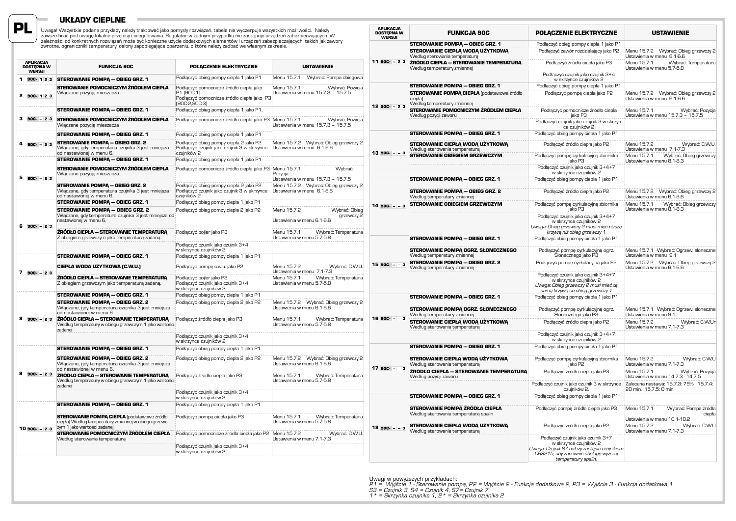### **Układy cieplne**

**PL**

Uwaga! Wszystkie podane przykłady należy traktować jako pomysły rozwiązań, tabela nie wyczerpuje wszystkich możliwości. Należy<br>zawsze brać pod uwagę lokalne przepisy i uregulowania. Regulator w żadnym przypadku nie zastępu

|    | <b>APLIKACJA</b><br><b>DOSTEPNA W</b><br>WERSJI | <b>FUNKCJA 90C</b>                                                                                                                        | POŁACZENIE ELEKTRYCZNE                                                                                                 | <b>USTAWIENIE</b>                                                                                                                                         |
|----|-------------------------------------------------|-------------------------------------------------------------------------------------------------------------------------------------------|------------------------------------------------------------------------------------------------------------------------|-----------------------------------------------------------------------------------------------------------------------------------------------------------|
| 1. | 90C-123                                         | <b>STEROWANIE POMPA - OBIEG GRZ. 1</b>                                                                                                    | Podłączyć obieg pompy ciepła 1 jako P1                                                                                 | Menu 15.7.1<br>Wybrać: Pompa obiegowa                                                                                                                     |
|    | 2 900-123                                       | STEROWANIE POMOCNICZYM ŹRÓDŁEM CIEPŁA<br>Włączane pozycją mieszacza.                                                                      | Podłączyć pomocnicze źródło ciepła jako<br>P1 (90C-1)<br>Podłączyć pomocnicze źródło ciepła jako P3<br>$[90C-2,90C-3]$ | Wybrać: Pozycja<br>Menu 15.7.1<br>Ustawienia w menu 15.7.3 - 15.7.5                                                                                       |
|    |                                                 | <b>STEROWANIE POMPA - OBIEG GRZ. 1</b>                                                                                                    | Podłączyć obieg pompy ciepła 1 jako P1.                                                                                |                                                                                                                                                           |
|    | $3.90C - 23$                                    | STEROWANIE POMOCNICZYM ŹRÓDŁEM CIEPŁA<br>Włączane pozycją mieszacza                                                                       | Podłączyć pomocnicze źródło ciepła jako P3 Menu 15.7.1                                                                 | Wybrać: Pozycja<br>Ustawienia w menu 15.7.3 - 15.7.5                                                                                                      |
|    |                                                 | <b>STEROWANIE POMPA - OBIEG GRZ. 1</b>                                                                                                    | Podłączyć obieg pompy ciepła 1 jako P1                                                                                 |                                                                                                                                                           |
|    | $90C - 23$                                      | <b>STEROWANIE POMPA - OBIEG GRZ. 2</b><br>Włączane, gdy temperatura czujnika 3 jest mniejsza<br>od nastawionej w menu 6.                  | Podłączyć obieg pompy ciepła 2 jako P2<br>Podłączyć czujnik jako czujnik 3 w skrzynce<br>czujników 2                   | Menu 15.7.2 Wybrać: Obieg grzewczy 2<br>Ustawienia w menu 6.1-6.6                                                                                         |
|    |                                                 | <b>STEROWANIE POMPA - OBIEG GRZ. 1</b>                                                                                                    | Podłączyć obieg pompy ciepła 1 jako P1                                                                                 |                                                                                                                                                           |
|    | 5 900 - 23                                      | STEROWANIE POMOCNICZYM ŹRÓDŁEM CIEPŁA<br>Włączane pozycją mieszacza.                                                                      |                                                                                                                        | Podłączyć pomocnicze źródło ciepła jako P3 Menu 15.7.1<br>Wybrać:<br>Pozycja<br>Ustawienia w menu 15.7.3 - 15.7.5<br>Menu 15.7.2 Wybrać: Obieg grzewczy 2 |
|    |                                                 | <b>STEROWANIE POMPA - OBIEG GRZ. 2</b><br>Włączane, gdy temperatura czujnika 3 jest mniejsza<br>od nastawionej w menu 6.                  | Podłączyć obieg pompy ciepła 2 jako P2<br>Podłączyć czujnik jako czujnik 3 w skrzynce<br>czujników 2                   | Ustawienia w menu 6.1-6.6                                                                                                                                 |
|    |                                                 | STEROWANIE POMPA - OBIEG GRZ. 1                                                                                                           | Podłączyć obieg pompy ciepła 1 jako P1                                                                                 |                                                                                                                                                           |
|    | $6$ 90C $-23$                                   | <b>STEROWANIE POMPA - OBIEG GRZ. 2</b><br>Włączane, gdy temperatura czujnika 3 jest mniejsza od<br>nastawionej w menu 6.                  | Podłączyć obieg pompy ciepła 2 jako P2                                                                                 | Menu 15.7.2<br>Wybrać: Obieg<br>grzewczy 2<br>Ustawienia w menu 6.1-6.6                                                                                   |
|    |                                                 | ŹRÓDŁO CIEPŁA – STEROWANIE TEMPERATURA<br>Z obiegiem grzewczym jako temperaturą zadaną.                                                   | Podłączyć bojler jako P3                                                                                               | Wybrać: Temperatura<br>Menu 15.7.1<br>Ustawienia w menu 5.7-5.8                                                                                           |
|    |                                                 |                                                                                                                                           | Podłaczyć czujnik jako czujnik 3+4<br>w skrzynce czujników 2                                                           |                                                                                                                                                           |
|    |                                                 | STEROWANIE POMPA - OBIEG GRZ. 1                                                                                                           | Podłączyć obieg pompy ciepła 1 jako P1                                                                                 |                                                                                                                                                           |
| 7  | $90C - 23$                                      | CIEPŁA WODA UŻYTKOWA (C.W.U.)                                                                                                             | Podłączyć pompę c.w.u. jako P2                                                                                         | Menu 15.7.2<br>Wybrać: C.W.U.<br>Ustawienia w menu 7.1-7.3                                                                                                |
|    |                                                 | ŹRÓDŁO CIEPŁA – STEROWANIE TEMPERATURA<br>Z obiegiem grzewczym jako temperaturą zadaną.                                                   | Podłączyć bojler jako P3<br>Podłączyć czujnik jako czujnik 3+4<br>w skrzynce czujników 2                               | Menu 15.7.1<br>Wybrać: Temperatura<br>Ustawienia w menu 5.7-5.8                                                                                           |
|    |                                                 | <b>STEROWANIE POMPA - OBIEG GRZ. 1</b>                                                                                                    | Podłączyć obieg pompy ciepła 1 jako P1                                                                                 |                                                                                                                                                           |
|    |                                                 | <b>STEROWANIE POMPA - OBIEG GRZ. 2</b><br>Włączane, gdy temperatura czujnika 3 jest mniejsza<br>od nastawionej w menu 6.                  | Podłączyć obieg pompy ciepła 2 jako P2                                                                                 | Menu 15.7.2 Wybrać: Obieg grzewczy 2<br>Ustawienia w menu 6.1-6.6                                                                                         |
|    | 8 90C - 23                                      | ŹRÓDŁO CIEPŁA – STEROWANIE TEMPERATURA<br>Według temperatury w obiegu grzewczym 1 jako wartości<br>zadanej                                | Podłączyć źródło ciepła jako P3                                                                                        | Menu 15.7.1<br>Wybrać: Temperatura<br>Ustawienia w menu 5.7-5.8                                                                                           |
|    |                                                 |                                                                                                                                           | Podłączyć czujnik jako czujnik 3+4<br>w skrzynce czujników 2                                                           |                                                                                                                                                           |
|    |                                                 | <b>STEROWANIE POMPA - OBIEG GRZ. 1</b>                                                                                                    | Podłączyć obieg pompy ciepła 1 jako P1                                                                                 |                                                                                                                                                           |
|    |                                                 | <b>STEROWANIE POMPA - OBIEG GRZ. 2</b><br>Włączane, gdy temperatura czujnika 3 jest mniejsza<br>od nastawionej w menu 6.                  | Podłączyć obieg pompy ciepła 2 jako P2                                                                                 | Menu 15.7.2 Wybrać: Obieg grzewczy 2<br>Ustawienia w menu 6.1-6.6                                                                                         |
|    | $9$ 90C - 23                                    | ŹRÓDŁO CIEPŁA – STEROWANIE TEMPERATURA<br>Według temperatury w obiegu grzewczym 1 jako wartości<br>zadanej                                | Podłączyć źródło ciepła jako P3                                                                                        | Menu 15.7.1<br>Wybrać: Temperatura<br>Ustawienia w menu 5.7-5.8                                                                                           |
|    |                                                 |                                                                                                                                           | Podłączyć czujnik jako czujnik 3+4<br>w skrzynce czujników 2                                                           |                                                                                                                                                           |
|    |                                                 | STEROWANIE POMPA - OBIEG GRZ. 1                                                                                                           | Podłączyć obieg pompy ciepła 1 jako P1                                                                                 |                                                                                                                                                           |
|    | $10$ 90C $-23$                                  | <b>STEROWANIE POMPA CIEPŁA</b> (podstawowe źródło<br>ciepła) Według temperatury zmiennej w obiegu grzewc-<br>zym 1 jako wartości zadanej. | Podłączyć pompę ciepła jako P3                                                                                         | Menu 15.7.1<br>Wybrać: Temperatura<br>Ustawienia w menu 5.7-5.8                                                                                           |
|    |                                                 | STEROWANIE POMOCNICZYM ŹRÓDŁEM CIEPŁA<br>Według sterowania temperatura                                                                    | Podłączyć pomocnicze źródło ciepła jako P2                                                                             | Wybrać: C.W.U.<br>Menu 15.7.2<br>Ustawienia w menu 7.1-7.3                                                                                                |
|    |                                                 |                                                                                                                                           | Podłączyć czujnik jako czujnik 3+4<br>w skrzynce czujników 2                                                           |                                                                                                                                                           |

| <b>APLIKACJA</b><br><b>DOSTEPNA W</b><br>WERSJI | <b>FUNKCJA 90C</b>                                                                                     | POŁACZENIE ELEKTRYCZNE                                                                                                                                                      | <b>USTAWIENIE</b>                                                                            |
|-------------------------------------------------|--------------------------------------------------------------------------------------------------------|-----------------------------------------------------------------------------------------------------------------------------------------------------------------------------|----------------------------------------------------------------------------------------------|
|                                                 | <b>STEROWANIE POMPA - OBIEG GRZ. 1</b>                                                                 | Podłączyć obieg pompy ciepła 1 jako P1                                                                                                                                      |                                                                                              |
|                                                 | STEROWANIE CIEPŁA WODA UŻYTKOWA                                                                        | Podłączyć zawór rozdzielający jako P2                                                                                                                                       | Menu 15.7.2 Wybrać: Obieg grzewczy 2                                                         |
| $1190C - 23$                                    | Według sterowania temperaturą<br>ŹRÓDŁO CIEPŁA – STEROWANIE TEMPERATURA<br>Według temperatury zmiennej | Podłączyć źródło ciepła jako P3                                                                                                                                             | Ustawienia w menu 6.1-6.6<br>Menu 15.7.1<br>Wybrać: Temperatura<br>Ustawienia w menu 5.7-5.8 |
|                                                 |                                                                                                        | Podłączyć czujnik jako czujnik 3+4<br>w skrzynce czujników 2                                                                                                                |                                                                                              |
|                                                 | <b>STEROWANIE POMPA - OBIEG GRZ. 1</b>                                                                 | Podłączyć obieg pompy ciepła 1 jako P1                                                                                                                                      |                                                                                              |
|                                                 | <b>STEROWANIE POMPĄ CIEPŁA</b> (podstawowe źródło<br>ciepła)<br>Według temperatury zmiennej            | Podłaczyć pompe ciepła jako P2                                                                                                                                              | Menu 15.7.2 Wybrać: Obieg grzewczy 2<br>Ustawienia w menu 6.1-6.6                            |
| 12 90C - 23                                     | STEROWANIE POMOCNICZYM ŹRÓDŁEM CIEPŁA<br>Według pozycji zaworu                                         | Podłączyć pomocnicze źródło ciepła<br>jako P3                                                                                                                               | Menu 15.7.1<br>Wybrać: Pozycja<br>Ustawienia w menu 15.7.3 - 15.7.5                          |
|                                                 |                                                                                                        | Podłączyć czujnik jako czujnik 3 w skrzyn-<br>ce czujników 2                                                                                                                |                                                                                              |
|                                                 | <b>STEROWANIE POMPA - OBIEG GRZ. 1</b>                                                                 | Podłączyć obieg pompy ciepła 1 jako P1                                                                                                                                      |                                                                                              |
| $1390C - 3$                                     | STEROWANIE CIEPŁĄ WODĄ UŻYTKOWĄ<br>Według sterowania temperaturą                                       | Podłączyć źródło ciepła jako P2                                                                                                                                             | Menu 15.7.2<br>Wybrać: C.W.U.<br>Ustawienia w menu 7.1-7.3                                   |
|                                                 | <b>STEROWANIE OBIEGIEM GRZEWCZYM</b>                                                                   | Podłączyć pompę cyrkulacyjną zbiornika<br>jako P3                                                                                                                           | Wybrać: Obieg grzewczy<br>Menu 15.7.1<br>Ustawienia w menu 8.1-8.3                           |
|                                                 |                                                                                                        | Podłączyć czujnik jako czujnik 3+4+7<br>w skrzynce czujników 2                                                                                                              |                                                                                              |
|                                                 | <b>STEROWANIE POMPA - OBIEG GRZ. 1</b>                                                                 | Podłączyć obieg pompy ciepła 1 jako P1                                                                                                                                      |                                                                                              |
|                                                 | <b>STEROWANIE POMPA - OBIEG GRZ. 2</b><br>Według temperatury zmiennej                                  | Podłączyć źródło ciepła jako P2                                                                                                                                             | Menu 15.7.2<br>Wybrać: Obieg grzewczy 2<br>Ustawienia w menu 6.1-6.6                         |
| $1490C - 3$                                     | <b>STEROWANIE OBIEGIEM GRZEWCZYM</b>                                                                   | Podłączyć pompę cyrkulacyjną zbiornika<br>jako P3                                                                                                                           | Menu 15.7.1<br>Wybrać: Obieg grzewczy<br>Ustawienia w menu 8.1-8.3                           |
|                                                 |                                                                                                        | Podłączyć czujnik jako czujnik 3+4+7<br>w skrzynce czujników 2<br>Uwaga: Obieg grzewczy 2 musi mieć niższą<br>krzywą niż obieg grzewczy 1                                   |                                                                                              |
|                                                 | <b>STEROWANIE POMPA - OBIEG GRZ. 1</b>                                                                 | Podłączyć obieg pompy ciepła 1 jako P1                                                                                                                                      |                                                                                              |
|                                                 | STEROWANIE POMPA OGRZ. SŁONECZNEGO<br>Według temperatury zmiennej                                      | Podłączyć pompę cyrkulacyjną ogrz.<br>Słonecznego jako P3                                                                                                                   | Menu 15.7.1 Wybrać: Ogrzew. słoneczne<br>Ustawienia w menu 9.1                               |
| $1590C - 3$                                     | <b>STEROWANIE POMPA - OBIEG GRZ. 2</b><br>Według temperatury zmiennej                                  | Podłączyć pompę cyrkulacyjną jako P2                                                                                                                                        | Menu 15.7.2 Wybrać: Obieg grzewczy 2<br>Ustawienia w menu 6.1-6.6                            |
|                                                 |                                                                                                        | Podłączyć czujnik jako czujnik 3+4+7<br>w skrzynce czujników 2<br>Uwaga: Obieg grzewczy 2 musi mieć tę<br>samą krzywą co obieg grzewczy 1                                   |                                                                                              |
|                                                 | <b>STEROWANIE POMPA - OBIEG GRZ. 1</b>                                                                 | Podłączyć obieg pompy ciepła 1 jako P1                                                                                                                                      |                                                                                              |
|                                                 | STEROWANIE POMPA OGRZ. SŁONECZNEGO<br>Według temperatury zmiennej                                      | Podłączyć pompę cyrkulacyjną ogrz.<br>Słonecznego jako P3                                                                                                                   | Menu 15.7.1 Wybrać: Ogrzew. słoneczne<br>Ustawienia w menu 9.1                               |
| $1690C - 3$                                     | STEROWANIE CIEPŁA WODA UŻYTKOWA<br>Według sterowania temperaturą                                       | Podłączyć źródło ciepła jako P2                                                                                                                                             | Menu 15.7.2<br>Wybrać: C.W.Ur<br>Ustawienia w menu 7.1-7.3                                   |
|                                                 |                                                                                                        | Podłączyć czujnik jako czujnik 3+4+7<br>w skrzynce czujników 2                                                                                                              |                                                                                              |
|                                                 | <b>STEROWANIE POMPA - OBIEG GRZ. 1</b>                                                                 | Podłączyć obieg pompy ciepła 1 jako P1                                                                                                                                      |                                                                                              |
| $17$ 90C $ -$ 3                                 | STEROWANIE CIEPŁĄ WODĄ UŻYTKOWĄ<br>Według sterowania temperatura                                       | Podłączyć pompę cyrkulacyjną zbiornika<br>jako P2                                                                                                                           | Menu 15.7.2<br>Wybrać: C.W.U<br>Ustawienia w menu 7.1-7.3                                    |
|                                                 | ŹRÓDŁO CIEPŁA – STEROWANIE TEMPERATURĄ<br>Według pozycji zaworu                                        | Podłaczyć źródło ciepła jako P3                                                                                                                                             | Menu 15.7.1<br>Wybrać: Pozycja<br>Ustawienia w menu 14.7.3 - 14.7.5                          |
|                                                 |                                                                                                        | Podłączyć czujnik jako czujnik 3 w skrzynce<br>czujników 2.                                                                                                                 | Zalecana nastawa: 15.7.3: 75% 15.7.4:<br>20 min. 15.7.5: 0 min.                              |
|                                                 | <b>STEROWANIE POMPA - OBIEG GRZ. 1</b>                                                                 | Podłączyć obieg pompy ciepła 1 jako P1                                                                                                                                      |                                                                                              |
|                                                 | STEROWANIE POMPA ŹRÓDŁA CIEPŁA<br>Według sterowania temperaturą spalin                                 | Podłączyć pompę źródła ciepła jako P3                                                                                                                                       | Menu 15.7.1<br>Wybrać: Pompa źródła<br>ciepła                                                |
| $1890C - 3$                                     | STEROWANIE CIEPŁĄ WODĄ UŻYTKOWĄ<br>Według sterowania temperaturą                                       | Podłączyć źródło ciepła jako P2                                                                                                                                             | Ustawienia w menu 10.1-10.2<br>Menu 15.7.2<br>Wybrać: C.W.U<br>Ustawienia w menu 7.1-7.3     |
|                                                 |                                                                                                        | Podłączyć czujnik jako czujnik 3+7<br>w skrzynce czujników 2<br>Uwaga: Czujnik S7 należy zastąpić czujnikiem<br>CRS215, aby zapewnić obsługę wyższej<br>temperatury spalin. |                                                                                              |

Uwagi w powyższych przykładach:<br>P1 = Wyjście 1 - Sterowanie pompą, P2 = Wyjście 2 - Funkcja dodatkowa 2, P3 = Wyjście 3 - Funkcja dodatkowa 1<br>S3 = Czujnik 3, S4 = Czujnik 4, S7= Czujnik 7<br>1 \* = Skrzynka czujnika 1, 2 \* = S